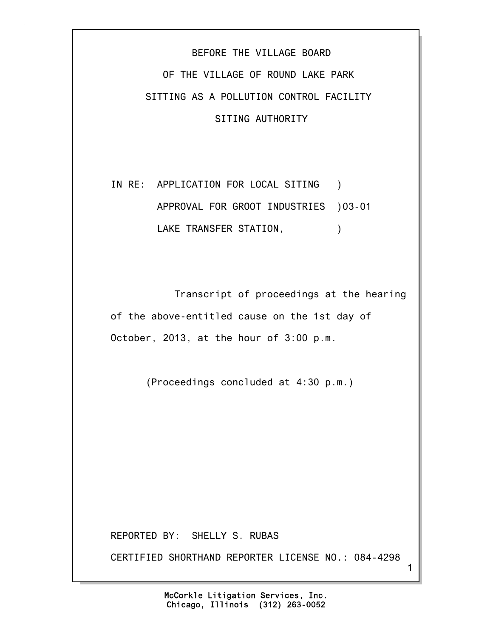## BEFORE THE VILLAGE BOARD OF THE VILLAGE OF ROUND LAKE PARK SITTING AS A POLLUTION CONTROL FACILITY SITING AUTHORITY

IN RE: APPLICATION FOR LOCAL SITING ) APPROVAL FOR GROOT INDUSTRIES )03-01 LAKE TRANSFER STATION,  $\qquad \qquad$ )

 Transcript of proceedings at the hearing of the above-entitled cause on the 1st day of October, 2013, at the hour of 3:00 p.m.

(Proceedings concluded at 4:30 p.m.)

REPORTED BY: SHELLY S. RUBAS

CERTIFIED SHORTHAND REPORTER LICENSE NO.: 084-4298

1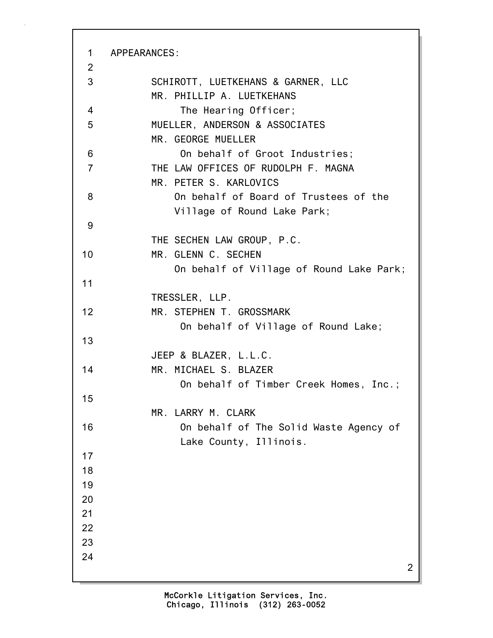2 1 APPEARANCES: 2 3 SCHIROTT, LUETKEHANS & GARNER, LLC MR. PHILLIP A. LUETKEHANS 4 The Hearing Officer; 5 MUELLER, ANDERSON & ASSOCIATES MR. GEORGE MUELLER 6 On behalf of Groot Industries; 7 THE LAW OFFICES OF RUDOLPH F. MAGNA MR. PETER S. KARLOVICS 8 On behalf of Board of Trustees of the Village of Round Lake Park; 9 THE SECHEN LAW GROUP, P.C. 10 MR. GLENN C. SECHEN On behalf of Village of Round Lake Park; 11 TRESSLER, LLP. 12 MR. STEPHEN T. GROSSMARK On behalf of Village of Round Lake; 13 JEEP & BLAZER, L.L.C. 14 MR. MICHAEL S. BLAZER On behalf of Timber Creek Homes, Inc.; 15 MR. LARRY M. CLARK 16 On behalf of The Solid Waste Agency of Lake County, Illinois. 17 18 19 20 21 22 23 24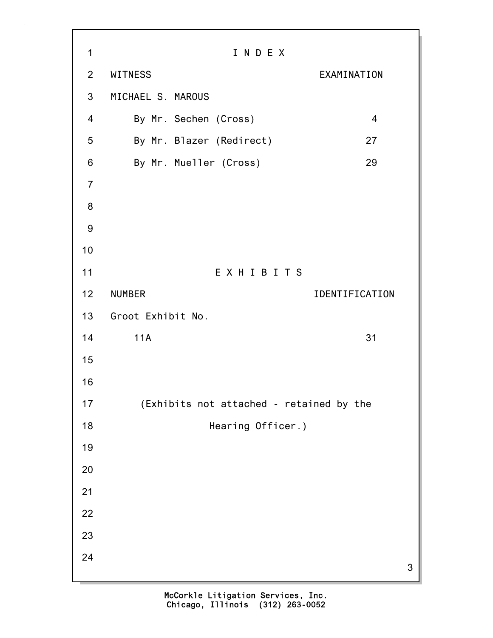1 I N D E X 2 WITNESS EXAMINATION 3 MICHAEL S. MAROUS 4 By Mr. Sechen (Cross) 4 5 By Mr. Blazer (Redirect) 27 6 By Mr. Mueller (Cross) 29 7 8 9 10 11 E X H I B I T S 12 NUMBER IDENTIFICATION 13 Groot Exhibit No. 14 11A 31 15 16 17 (Exhibits not attached - retained by the 18 **Hearing Officer.**) 19 20 21 22 23 24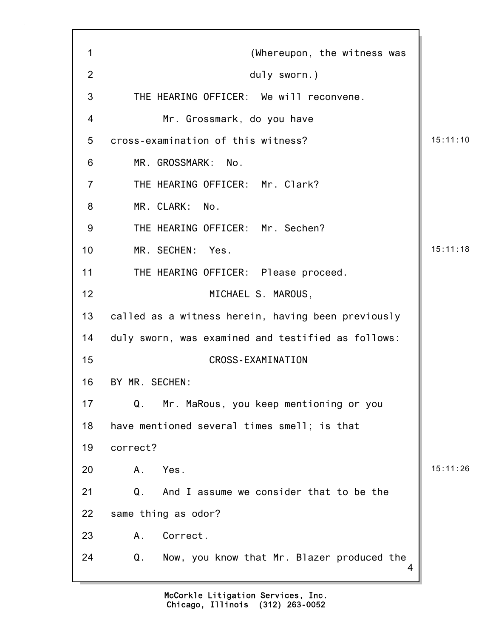4 1 (Whereupon, the witness was 2 duly sworn.) 3 THE HEARING OFFICER: We will reconvene. 4 Mr. Grossmark, do you have 5 cross-examination of this witness? 15:11:10 6 MR. GROSSMARK: No. 7 THE HEARING OFFICER: Mr. Clark? 8 MR. CLARK: No. 9 THE HEARING OFFICER: Mr. Sechen? 10 MR. SECHEN: Yes. 15:11:18 11 THE HEARING OFFICER: Please proceed. 12 MICHAEL S. MAROUS, 13 called as a witness herein, having been previously 14 duly sworn, was examined and testified as follows: 15 CROSS-EXAMINATION 16 BY MR. SECHEN: 17 Q. Mr. MaRous, you keep mentioning or you 18 have mentioned several times smell; is that 19 correct? 20 A. Yes. 15:11:26 21 Q. And I assume we consider that to be the 22 same thing as odor? 23 A. Correct. 24 Q. Now, you know that Mr. Blazer produced the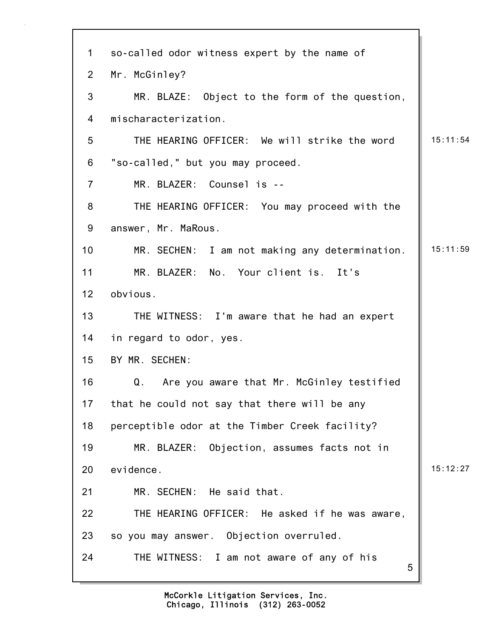| $\mathbf 1$     | so-called odor witness expert by the name of    |          |
|-----------------|-------------------------------------------------|----------|
| $\overline{2}$  | Mr. McGinley?                                   |          |
| 3               | MR. BLAZE: Object to the form of the question,  |          |
| $\overline{4}$  | mischaracterization.                            |          |
| 5               | THE HEARING OFFICER: We will strike the word    | 15:11:54 |
| 6               | "so-called," but you may proceed.               |          |
| $\overline{7}$  | MR. BLAZER: Counsel is --                       |          |
| 8               | THE HEARING OFFICER: You may proceed with the   |          |
| 9               | answer, Mr. MaRous.                             |          |
| 10 <sup>°</sup> | MR. SECHEN: I am not making any determination.  | 15:11:59 |
| 11              | MR. BLAZER: No. Your client is. It's            |          |
| 12 <sub>2</sub> | obvious.                                        |          |
| 13              | THE WITNESS: I'm aware that he had an expert    |          |
| 14              | in regard to odor, yes.                         |          |
| 15              | BY MR. SECHEN:                                  |          |
| 16              | Are you aware that Mr. McGinley testified<br>Q. |          |
| 17              | that he could not say that there will be any    |          |
| 18              | perceptible odor at the Timber Creek facility?  |          |
| 19              | MR. BLAZER: Objection, assumes facts not in     |          |
| 20              | evidence.                                       | 15:12:27 |
| 21              | MR. SECHEN: He said that.                       |          |
| 22              | THE HEARING OFFICER: He asked if he was aware,  |          |
| 23              | so you may answer. Objection overruled.         |          |
| 24              | THE WITNESS: I am not aware of any of his<br>5  |          |

Г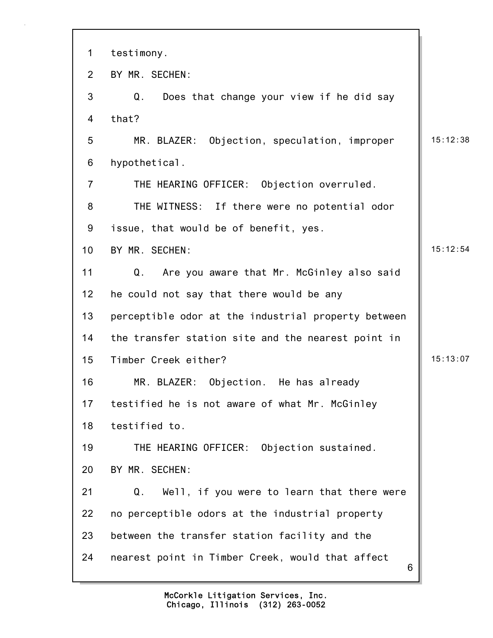| 1               | testimony.                                            |          |
|-----------------|-------------------------------------------------------|----------|
| $\overline{2}$  | BY MR. SECHEN:                                        |          |
| 3               | Does that change your view if he did say<br>Q.        |          |
| 4               | that?                                                 |          |
| 5               | MR. BLAZER: Objection, speculation, improper          | 15:12:38 |
| 6               | hypothetical.                                         |          |
| $\overline{7}$  | THE HEARING OFFICER: Objection overruled.             |          |
| 8               | THE WITNESS: If there were no potential odor          |          |
| 9               | issue, that would be of benefit, yes.                 |          |
| 10 <sub>1</sub> | BY MR. SECHEN:                                        | 15:12:54 |
| 11              | Are you aware that Mr. McGinley also said<br>Q.       |          |
| 12              | he could not say that there would be any              |          |
| 13              | perceptible odor at the industrial property between   |          |
| 14              | the transfer station site and the nearest point in    |          |
| 15              | Timber Creek either?                                  | 15:13:07 |
| 16              | MR. BLAZER: Objection. He has already                 |          |
| 17              | testified he is not aware of what Mr. McGinley        |          |
| 18              | testified to.                                         |          |
| 19              | THE HEARING OFFICER: Objection sustained.             |          |
| 20              | BY MR. SECHEN:                                        |          |
| 21              | Q.<br>Well, if you were to learn that there were      |          |
| 22              | no perceptible odors at the industrial property       |          |
| 23              | between the transfer station facility and the         |          |
| 24              | nearest point in Timber Creek, would that affect<br>6 |          |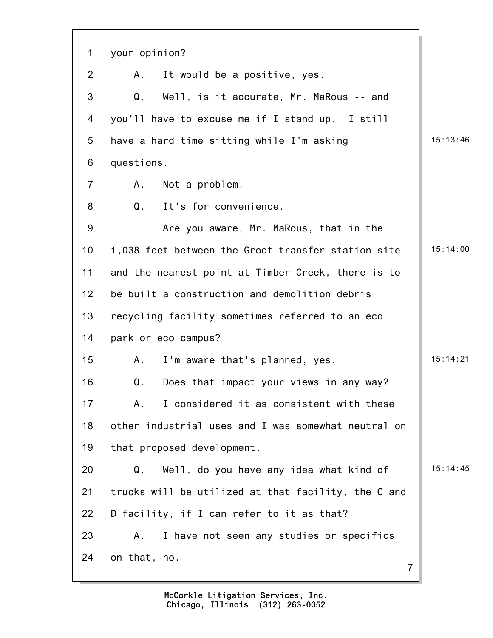| 1              | your opinion?                                             |          |
|----------------|-----------------------------------------------------------|----------|
| $\overline{2}$ | It would be a positive, yes.<br>Α.                        |          |
| 3              | Q <sub>1</sub><br>Well, is it accurate, Mr. MaRous -- and |          |
| 4              | you'll have to excuse me if I stand up. I still           |          |
| 5              | have a hard time sitting while I'm asking                 | 15:13:46 |
| 6              | questions.                                                |          |
| $\overline{7}$ | Α.<br>Not a problem.                                      |          |
| 8              | It's for convenience.<br>Q <sub>1</sub>                   |          |
| 9              | Are you aware, Mr. MaRous, that in the                    |          |
| 10             | 1,038 feet between the Groot transfer station site        | 15:14:00 |
| 11             | and the nearest point at Timber Creek, there is to        |          |
| 12             | be built a construction and demolition debris             |          |
| 13             | recycling facility sometimes referred to an eco           |          |
| 14             | park or eco campus?                                       |          |
| 15             | I'm aware that's planned, yes.<br>A.                      | 15:14:21 |
| 16             | Does that impact your views in any way?<br>Q.             |          |
| 17             | I considered it as consistent with these<br>A.            |          |
| 18             | other industrial uses and I was somewhat neutral on       |          |
| 19             | that proposed development.                                |          |
| 20             | Q.<br>Well, do you have any idea what kind of             | 15:14:45 |
| 21             | trucks will be utilized at that facility, the C and       |          |
| 22             | D facility, if I can refer to it as that?                 |          |
| 23             | I have not seen any studies or specifics<br>Α.            |          |
| 24             | on that, no.<br>$\overline{7}$                            |          |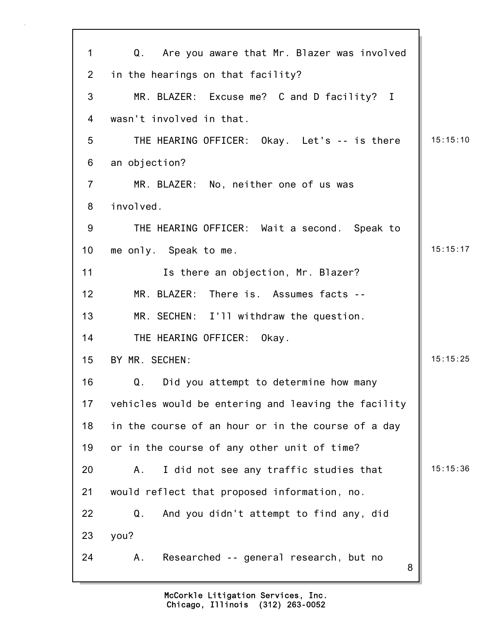| 1              | Q. Are you aware that Mr. Blazer was involved       |          |
|----------------|-----------------------------------------------------|----------|
| 2              | in the hearings on that facility?                   |          |
| 3              | MR. BLAZER: Excuse me? C and D facility? I          |          |
| 4              | wasn't involved in that.                            |          |
| 5              | THE HEARING OFFICER: Okay. Let's -- is there        | 15:15:10 |
| 6              | an objection?                                       |          |
| $\overline{7}$ | MR. BLAZER: No, neither one of us was               |          |
| 8              | involved.                                           |          |
| 9              | THE HEARING OFFICER: Wait a second. Speak to        |          |
| 10             | me only. Speak to me.                               | 15:15:17 |
| 11             | Is there an objection, Mr. Blazer?                  |          |
| 12             | MR. BLAZER: There is. Assumes facts --              |          |
| 13             | MR. SECHEN: I'll withdraw the question.             |          |
| 14             | THE HEARING OFFICER:<br>Okay.                       |          |
| 15             | BY MR. SECHEN:                                      | 15:15:25 |
| 16             | Q.<br>Did you attempt to determine how many         |          |
| 17             | vehicles would be entering and leaving the facility |          |
| 18             | in the course of an hour or in the course of a day  |          |
| 19             | or in the course of any other unit of time?         |          |
| 20             | I did not see any traffic studies that<br>Α.        | 15:15:36 |
| 21             | would reflect that proposed information, no.        |          |
| 22             | Q.<br>And you didn't attempt to find any, did       |          |
| 23             | you?                                                |          |
| 24             | Researched -- general research, but no<br>Α.<br>8   |          |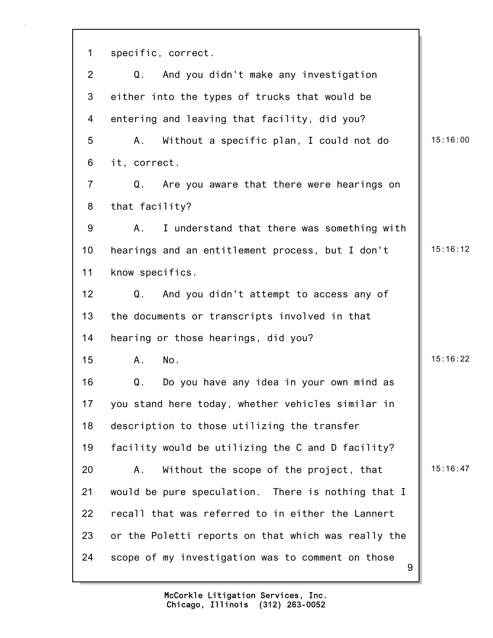9 1 specific, correct. 2 Q. And you didn't make any investigation 3 either into the types of trucks that would be 4 entering and leaving that facility, did you? 5 A. Without a specific plan, I could not do | 15:16:00 6 it, correct. 7 Q. Are you aware that there were hearings on 8 that facility? 9 A. I understand that there was something with 10 hearings and an entitlement process, but I don't | 15:16:12 11 know specifics. 12 Q. And you didn't attempt to access any of 13 the documents or transcripts involved in that 14 hearing or those hearings, did you? 15 A. No. 15:16:22 16 Q. Do you have any idea in your own mind as 17 you stand here today, whether vehicles similar in 18 description to those utilizing the transfer 19 facility would be utilizing the C and D facility? 20 A. Without the scope of the project, that 15:16:47 21 would be pure speculation. There is nothing that I 22 recall that was referred to in either the Lannert 23 or the Poletti reports on that which was really the 24 scope of my investigation was to comment on those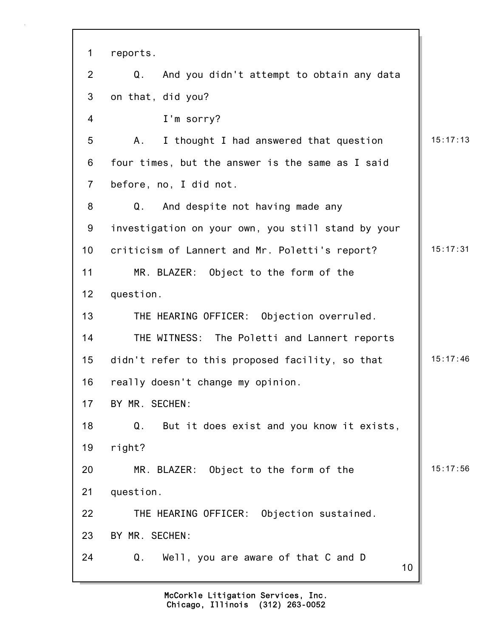| $\mathbf 1$     | reports.                                           |          |
|-----------------|----------------------------------------------------|----------|
| $\overline{2}$  | Q.<br>And you didn't attempt to obtain any data    |          |
| 3               | on that, did you?                                  |          |
| 4               | I'm sorry?                                         |          |
| 5               | Α.<br>I thought I had answered that question       | 15:17:13 |
| 6               | four times, but the answer is the same as I said   |          |
| $\overline{7}$  | before, no, I did not.                             |          |
| 8               | And despite not having made any<br>Q.              |          |
| 9               | investigation on your own, you still stand by your |          |
| 10 <sup>1</sup> | criticism of Lannert and Mr. Poletti's report?     | 15:17:31 |
| 11              | MR. BLAZER: Object to the form of the              |          |
| 12              | question.                                          |          |
| 13              | THE HEARING OFFICER: Objection overruled.          |          |
| 14              | THE WITNESS: The Poletti and Lannert reports       |          |
| 15              | didn't refer to this proposed facility, so that    | 15:17:46 |
| 16              | really doesn't change my opinion.                  |          |
| 17              | BY MR. SECHEN:                                     |          |
| 18              | But it does exist and you know it exists,<br>Q.    |          |
| 19              | right?                                             |          |
| 20              | MR. BLAZER: Object to the form of the              | 15:17:56 |
| 21              | question.                                          |          |
| 22              | THE HEARING OFFICER: Objection sustained.          |          |
| 23              | BY MR. SECHEN:                                     |          |
| 24              | Q.<br>Well, you are aware of that C and D<br>10    |          |
|                 |                                                    |          |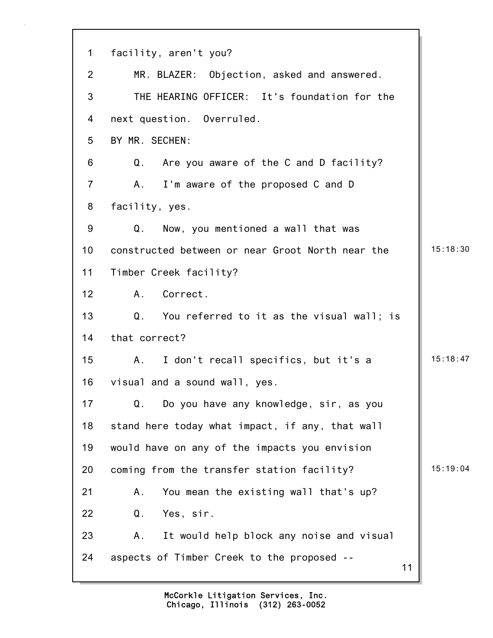| $\mathbf 1$     | facility, aren't you?                            |          |
|-----------------|--------------------------------------------------|----------|
| $\overline{2}$  | MR. BLAZER: Objection, asked and answered.       |          |
| 3               | THE HEARING OFFICER: It's foundation for the     |          |
| 4               | next question. Overruled.                        |          |
| 5               | BY MR. SECHEN:                                   |          |
| 6               | Q.<br>Are you aware of the C and D facility?     |          |
| $\overline{7}$  | I'm aware of the proposed C and D<br>Α.          |          |
| 8               | facility, yes.                                   |          |
| 9               | Q.<br>Now, you mentioned a wall that was         |          |
| 10              | constructed between or near Groot North near the | 15:18:30 |
| 11              | Timber Creek facility?                           |          |
| 12 <sub>2</sub> | Correct.<br>A.                                   |          |
| 13              | Q.<br>You referred to it as the visual wall; is  |          |
| 14              | that correct?                                    |          |
| 15              | I don't recall specifics, but it's a<br>A.       | 15:18:47 |
| 16              | visual and a sound wall, yes.                    |          |
| 17              | Q.<br>Do you have any knowledge, sir, as you     |          |
| 18              | stand here today what impact, if any, that wall  |          |
| 19              | would have on any of the impacts you envision    |          |
| 20              | coming from the transfer station facility?       | 15:19:04 |
| 21              | You mean the existing wall that's up?<br>Α.      |          |
| 22              | Q.<br>Yes, sir.                                  |          |
| 23              | It would help block any noise and visual<br>Α.   |          |
| 24              | aspects of Timber Creek to the proposed --<br>11 |          |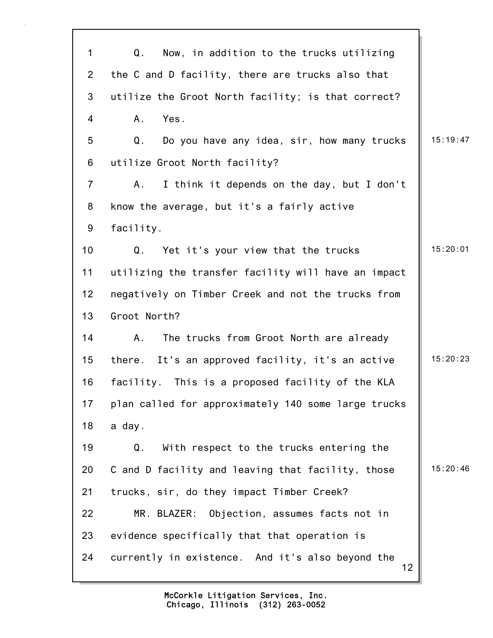| $\mathbf{1}$   | Q.<br>Now, in addition to the trucks utilizing         |          |
|----------------|--------------------------------------------------------|----------|
| $\overline{2}$ | the C and D facility, there are trucks also that       |          |
| 3              | utilize the Groot North facility; is that correct?     |          |
| 4              | $A_{-}$<br>Yes.                                        |          |
| 5              | Q.<br>Do you have any idea, sir, how many trucks       | 15:19:47 |
| 6              | utilize Groot North facility?                          |          |
| $\overline{7}$ | A.<br>I think it depends on the day, but I don't       |          |
| 8              | know the average, but it's a fairly active             |          |
| 9              | facility.                                              |          |
| 10             | Yet it's your view that the trucks<br>Q.               | 15:20:01 |
| 11             | utilizing the transfer facility will have an impact    |          |
| 12             | negatively on Timber Creek and not the trucks from     |          |
| 13             | Groot North?                                           |          |
| 14             | Α.<br>The trucks from Groot North are already          |          |
| 15             | there. It's an approved facility, it's an active       | 15:20:23 |
| 16             | facility. This is a proposed facility of the KLA       |          |
| 17             | plan called for approximately 140 some large trucks    |          |
| 18             | a day.                                                 |          |
| 19             | Q.<br>With respect to the trucks entering the          |          |
| 20             | C and D facility and leaving that facility, those      | 15:20:46 |
| 21             | trucks, sir, do they impact Timber Creek?              |          |
| 22             | Objection, assumes facts not in<br>MR. BLAZER:         |          |
| 23             | evidence specifically that that operation is           |          |
| 24             | currently in existence. And it's also beyond the<br>12 |          |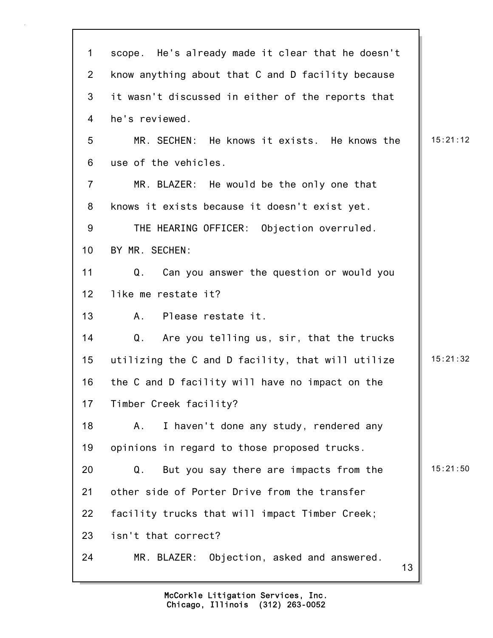| $\mathbf 1$     | scope. He's already made it clear that he doesn't |          |
|-----------------|---------------------------------------------------|----------|
| $\overline{2}$  | know anything about that C and D facility because |          |
| 3               | it wasn't discussed in either of the reports that |          |
| 4               | he's reviewed.                                    |          |
| 5               | MR. SECHEN: He knows it exists. He knows the      | 15:21:12 |
| 6               | use of the vehicles.                              |          |
| $\overline{7}$  | MR. BLAZER: He would be the only one that         |          |
| 8               | knows it exists because it doesn't exist yet.     |          |
| 9               | THE HEARING OFFICER: Objection overruled.         |          |
| 10 <sup>1</sup> | BY MR. SECHEN:                                    |          |
| 11              | Q.<br>Can you answer the question or would you    |          |
| 12              | like me restate it?                               |          |
| 13              | Please restate it.<br>A.                          |          |
| 14              | Q.<br>Are you telling us, sir, that the trucks    |          |
| 15              | utilizing the C and D facility, that will utilize | 15:21:32 |
| 16              | the C and D facility will have no impact on the   |          |
| 17              | Timber Creek facility?                            |          |
| 18              | I haven't done any study, rendered any<br>Α.      |          |
| 19              | opinions in regard to those proposed trucks.      |          |
| 20              | But you say there are impacts from the<br>Q.      | 15:21:50 |
| 21              | other side of Porter Drive from the transfer      |          |
| 22              | facility trucks that will impact Timber Creek;    |          |
| 23              | isn't that correct?                               |          |
| 24              | MR. BLAZER: Objection, asked and answered.<br>13  |          |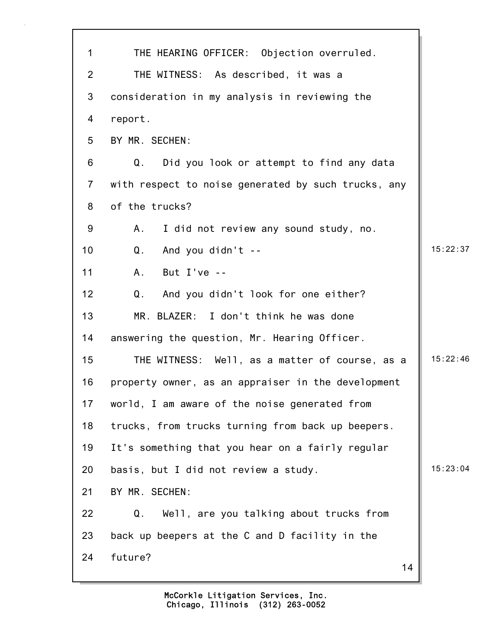| $\mathbf 1$    | THE HEARING OFFICER: Objection overruled.           |          |
|----------------|-----------------------------------------------------|----------|
| $\overline{2}$ | THE WITNESS: As described, it was a                 |          |
| 3              | consideration in my analysis in reviewing the       |          |
| 4              | report.                                             |          |
| 5              | BY MR. SECHEN:                                      |          |
| 6              | Q.<br>Did you look or attempt to find any data      |          |
| $\overline{7}$ | with respect to noise generated by such trucks, any |          |
| 8              | of the trucks?                                      |          |
| 9              | I did not review any sound study, no.<br>А.         |          |
| 10             | Q.<br>And you didn't --                             | 15:22:37 |
| 11             | But $I've -$<br>A.                                  |          |
| 12             | And you didn't look for one either?<br>Q.           |          |
| 13             | MR. BLAZER: I don't think he was done               |          |
| 14             | answering the question, Mr. Hearing Officer.        |          |
| 15             | THE WITNESS: Well, as a matter of course, as a      | 15:22:46 |
| 16             | property owner, as an appraiser in the development  |          |
| 17             | world, I am aware of the noise generated from       |          |
| 18             | trucks, from trucks turning from back up beepers.   |          |
| 19             | It's something that you hear on a fairly regular    |          |
| 20             | basis, but I did not review a study.                | 15:23:04 |
| 21             | BY MR. SECHEN:                                      |          |
| 22             | Q.<br>Well, are you talking about trucks from       |          |
| 23             | back up beepers at the C and D facility in the      |          |
| 24             | future?<br>14                                       |          |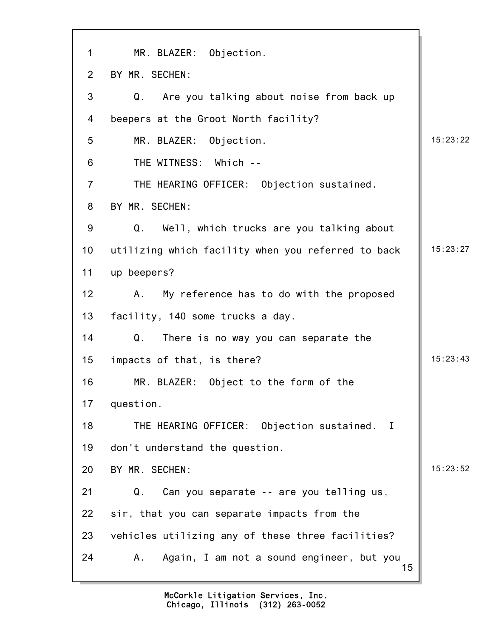| $\mathbf 1$     | MR. BLAZER: Objection.                                    |          |
|-----------------|-----------------------------------------------------------|----------|
| $\overline{2}$  | BY MR. SECHEN:                                            |          |
| 3               | Are you talking about noise from back up<br>Q.            |          |
| 4               | beepers at the Groot North facility?                      |          |
| 5               | MR. BLAZER: Objection.                                    | 15:23:22 |
| 6               | THE WITNESS: Which --                                     |          |
| $\overline{7}$  | THE HEARING OFFICER: Objection sustained.                 |          |
| 8               | BY MR. SECHEN:                                            |          |
| 9               | Q.<br>Well, which trucks are you talking about            |          |
| 10 <sub>1</sub> | utilizing which facility when you referred to back        | 15:23:27 |
| 11              | up beepers?                                               |          |
| 12              | My reference has to do with the proposed<br>A.            |          |
| 13              | facility, 140 some trucks a day.                          |          |
| 14              | Q.<br>There is no way you can separate the                |          |
| 15              | impacts of that, is there?                                | 15:23:43 |
| 16              | MR. BLAZER: Object to the form of the                     |          |
| 17              | question.                                                 |          |
| 18              | THE HEARING OFFICER: Objection sustained.<br>$\mathbf{I}$ |          |
| 19              | don't understand the question.                            |          |
| 20              | BY MR. SECHEN:                                            | 15:23:52 |
| 21              | Can you separate -- are you telling us,<br>Q.             |          |
| 22              | sir, that you can separate impacts from the               |          |
| 23              | vehicles utilizing any of these three facilities?         |          |
| 24              | Again, I am not a sound engineer, but you<br>Α.<br>15     |          |

7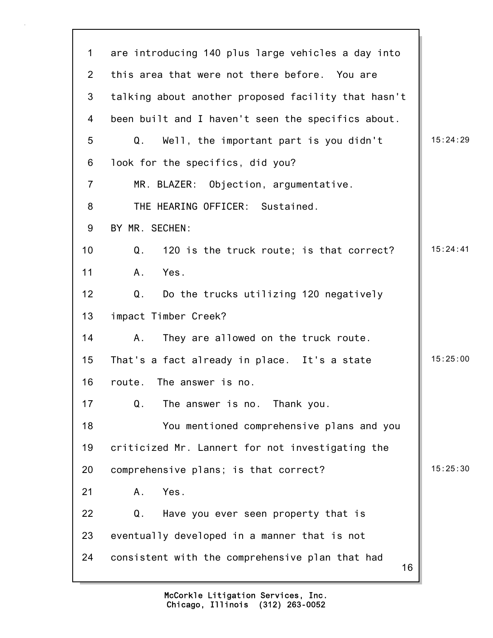| $\mathbf 1$     | are introducing 140 plus large vehicles a day into    |          |
|-----------------|-------------------------------------------------------|----------|
| 2               | this area that were not there before. You are         |          |
| 3               | talking about another proposed facility that hasn't   |          |
| 4               | been built and I haven't seen the specifics about.    |          |
| 5               | Q.<br>Well, the important part is you didn't          | 15:24:29 |
| 6               | look for the specifics, did you?                      |          |
| $\overline{7}$  | MR. BLAZER: Objection, argumentative.                 |          |
| 8               | THE HEARING OFFICER: Sustained.                       |          |
| 9               | BY MR. SECHEN:                                        |          |
| 10 <sup>1</sup> | Q.<br>120 is the truck route; is that correct?        | 15:24:41 |
| 11              | A.<br>Yes.                                            |          |
| 12              | Do the trucks utilizing 120 negatively<br>Q.          |          |
| 13              | impact Timber Creek?                                  |          |
| 14              | They are allowed on the truck route.<br>Α.            |          |
| 15              | That's a fact already in place. It's a state          | 15:25:00 |
| 16              | route.<br>The answer is no.                           |          |
| 17              | Q.<br>The answer is no. Thank you.                    |          |
| 18              | You mentioned comprehensive plans and you             |          |
| 19              | criticized Mr. Lannert for not investigating the      |          |
| 20              | comprehensive plans; is that correct?                 | 15:25:30 |
| 21              | Yes.<br>Α.                                            |          |
| 22              | Have you ever seen property that is<br>Q.             |          |
| 23              | eventually developed in a manner that is not          |          |
| 24              | consistent with the comprehensive plan that had<br>16 |          |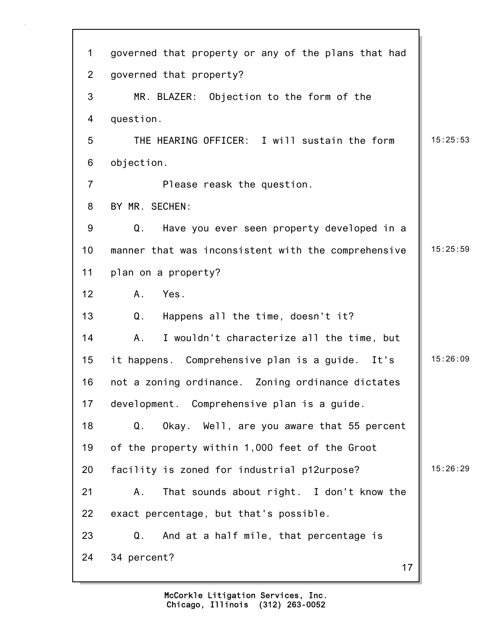| $\mathbf 1$    | governed that property or any of the plans that had |          |
|----------------|-----------------------------------------------------|----------|
| $\overline{2}$ | governed that property?                             |          |
| 3              | MR. BLAZER: Objection to the form of the            |          |
| 4              | question.                                           |          |
| 5              | THE HEARING OFFICER: I will sustain the form        | 15:25:53 |
| 6              | objection.                                          |          |
| $\overline{7}$ | Please reask the question.                          |          |
| 8              | BY MR. SECHEN:                                      |          |
| 9              | Have you ever seen property developed in a<br>Q.    |          |
| 10             | manner that was inconsistent with the comprehensive | 15:25:59 |
| 11             | plan on a property?                                 |          |
| 12             | Yes.<br>A.                                          |          |
| 13             | Q.<br>Happens all the time, doesn't it?             |          |
| 14             | A.<br>I wouldn't characterize all the time, but     |          |
| 15             | it happens. Comprehensive plan is a guide. It's     | 15:26:09 |
| 16             | not a zoning ordinance. Zoning ordinance dictates   |          |
| 17             | development. Comprehensive plan is a guide.         |          |
| 18             | Okay. Well, are you aware that 55 percent<br>Q.     |          |
| 19             | of the property within 1,000 feet of the Groot      |          |
| 20             | facility is zoned for industrial p12urpose?         | 15:26:29 |
| 21             | That sounds about right. I don't know the<br>Α.     |          |
| 22             | exact percentage, but that's possible.              |          |
| 23             | Q.<br>And at a half mile, that percentage is        |          |
| 24             | 34 percent?<br>17                                   |          |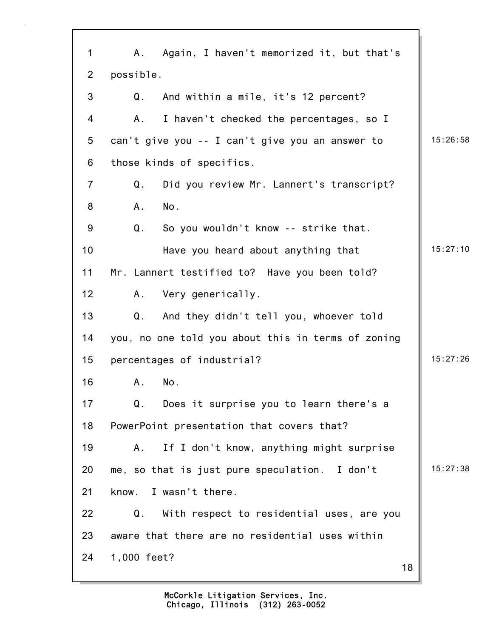| 1              | Α.          | Again, I haven't memorized it, but that's          |    |          |
|----------------|-------------|----------------------------------------------------|----|----------|
| $\overline{2}$ | possible.   |                                                    |    |          |
| 3              | Q.          | And within a mile, it's 12 percent?                |    |          |
| 4              | А.          | I haven't checked the percentages, so I            |    |          |
| 5              |             | can't give you -- I can't give you an answer to    |    | 15:26:58 |
| 6              |             | those kinds of specifics.                          |    |          |
| $\overline{7}$ | Q.          | Did you review Mr. Lannert's transcript?           |    |          |
| 8              | A.          | No.                                                |    |          |
| 9              | Q.          | So you wouldn't know -- strike that.               |    |          |
| 10             |             | Have you heard about anything that                 |    | 15:27:10 |
| 11             |             | Mr. Lannert testified to? Have you been told?      |    |          |
| 12             | А.          | Very generically.                                  |    |          |
| 13             | Q.          | And they didn't tell you, whoever told             |    |          |
| 14             |             | you, no one told you about this in terms of zoning |    |          |
| 15             |             | percentages of industrial?                         |    | 15:27:26 |
| 16             | Α.          | No.                                                |    |          |
| 17             | Q.          | Does it surprise you to learn there's a            |    |          |
| 18             |             | PowerPoint presentation that covers that?          |    |          |
| 19             | Α.          | If I don't know, anything might surprise           |    |          |
| 20             |             | me, so that is just pure speculation. I don't      |    | 15:27:38 |
| 21             | know.       | I wasn't there.                                    |    |          |
| 22             | Q.          | With respect to residential uses, are you          |    |          |
| 23             |             | aware that there are no residential uses within    |    |          |
| 24             | 1,000 feet? |                                                    | 18 |          |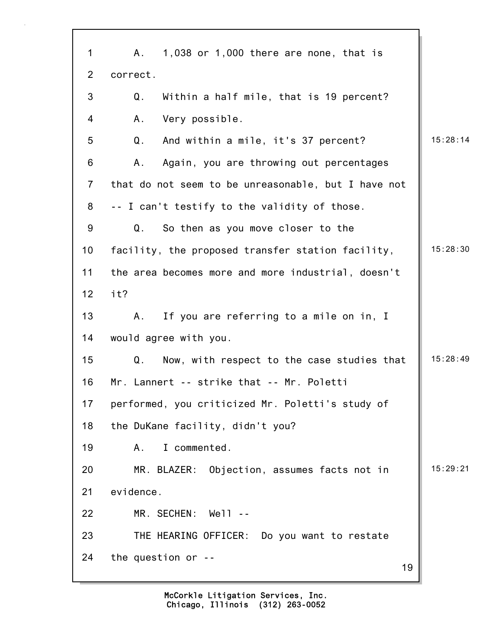| $\mathbf 1$     | $1,038$ or $1,000$ there are none, that is<br>А.    |          |
|-----------------|-----------------------------------------------------|----------|
| $\overline{2}$  | correct.                                            |          |
| 3               | Within a half mile, that is 19 percent?<br>Q.       |          |
| 4               | Very possible.<br>Α.                                |          |
| 5               | Q.<br>And within a mile, it's 37 percent?           | 15:28:14 |
| 6               | Again, you are throwing out percentages<br>Α.       |          |
| $\overline{7}$  | that do not seem to be unreasonable, but I have not |          |
| 8               | -- I can't testify to the validity of those.        |          |
| 9               | So then as you move closer to the<br>Q.             |          |
| 10              | facility, the proposed transfer station facility,   | 15:28:30 |
| 11              | the area becomes more and more industrial, doesn't  |          |
| 12 <sub>2</sub> | it?                                                 |          |
| 13              | If you are referring to a mile on in, I<br>А.       |          |
| 14              | would agree with you.                               |          |
| 15              | Q.<br>Now, with respect to the case studies that    | 15:28:49 |
| 16              | Mr. Lannert -- strike that -- Mr. Poletti           |          |
| 17              | performed, you criticized Mr. Poletti's study of    |          |
| 18              | the DuKane facility, didn't you?                    |          |
| 19              | I commented.<br>Α.                                  |          |
| 20              | MR. BLAZER: Objection, assumes facts not in         | 15:29:21 |
| 21              | evidence.                                           |          |
| 22              | MR. SECHEN:<br>Well --                              |          |
| 23              | THE HEARING OFFICER: Do you want to restate         |          |
| 24              | the question or --<br>19                            |          |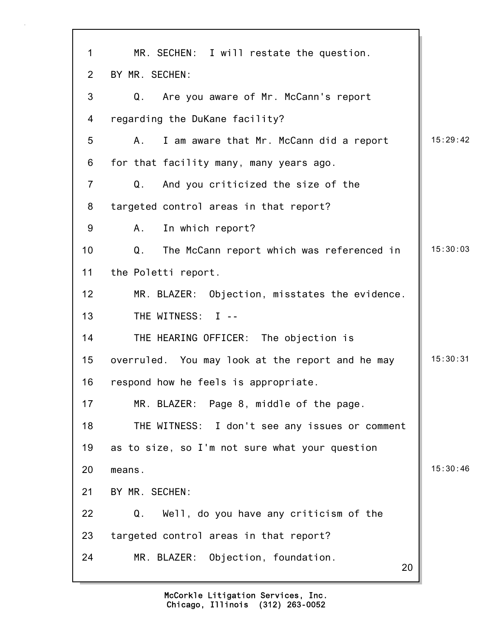| $\mathbf 1$    | MR. SECHEN: I will restate the question.            |          |
|----------------|-----------------------------------------------------|----------|
| $\overline{2}$ | BY MR. SECHEN:                                      |          |
| 3              | Are you aware of Mr. McCann's report<br>Q.          |          |
| 4              | regarding the DuKane facility?                      |          |
| 5              | I am aware that Mr. McCann did a report<br>А.       | 15:29:42 |
| 6              | for that facility many, many years ago.             |          |
| $\overline{7}$ | $\mathsf Q$ .<br>And you criticized the size of the |          |
| 8              | targeted control areas in that report?              |          |
| 9              | In which report?<br>A.                              |          |
| 10             | Q.<br>The McCann report which was referenced in     | 15:30:03 |
| 11             | the Poletti report.                                 |          |
| 12             | MR. BLAZER: Objection, misstates the evidence.      |          |
| 13             | THE WITNESS: I --                                   |          |
| 14             | THE HEARING OFFICER: The objection is               |          |
| 15             | overruled. You may look at the report and he may    | 15:30:31 |
| 16             | respond how he feels is appropriate.                |          |
| 17             | MR. BLAZER: Page 8, middle of the page.             |          |
| 18             | THE WITNESS: I don't see any issues or comment      |          |
| 19             | as to size, so I'm not sure what your question      |          |
| 20             | means.                                              | 15:30:46 |
| 21             | BY MR. SECHEN:                                      |          |
| 22             | Q.<br>Well, do you have any criticism of the        |          |
| 23             | targeted control areas in that report?              |          |
| 24             | MR. BLAZER: Objection, foundation.<br>20            |          |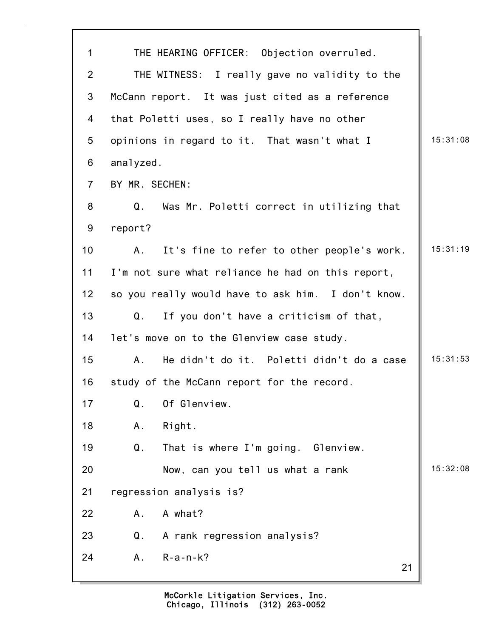| 1              | THE HEARING OFFICER: Objection overruled.                   |          |
|----------------|-------------------------------------------------------------|----------|
| $\overline{2}$ | THE WITNESS: I really gave no validity to the               |          |
| 3              | McCann report. It was just cited as a reference             |          |
| 4              | that Poletti uses, so I really have no other                |          |
| 5              | opinions in regard to it. That wasn't what I                | 15:31:08 |
| 6              | analyzed.                                                   |          |
| $\overline{7}$ | BY MR. SECHEN:                                              |          |
| 8              | Q <sub>1</sub><br>Was Mr. Poletti correct in utilizing that |          |
| 9              | report?                                                     |          |
| 10             | It's fine to refer to other people's work.<br>A.,           | 15:31:19 |
| 11             | I'm not sure what reliance he had on this report,           |          |
| 12             | so you really would have to ask him. I don't know.          |          |
| 13             | If you don't have a criticism of that,<br>Q.                |          |
| 14             | let's move on to the Glenview case study.                   |          |
| 15             | He didn't do it. Poletti didn't do a case<br>А.             | 15:31:53 |
| 16             | study of the McCann report for the record.                  |          |
| 17             | Of Glenview.<br>Q.                                          |          |
| 18             | Right.<br>Α.                                                |          |
| 19             | $\mathsf Q$ .<br>That is where I'm going. Glenview.         |          |
| 20             | Now, can you tell us what a rank                            | 15:32:08 |
| 21             | regression analysis is?                                     |          |
| 22             | A what?<br>Α.                                               |          |
| 23             | Q.<br>A rank regression analysis?                           |          |
| 24             | $R-a-n-k?$<br>A.<br>21                                      |          |
|                |                                                             |          |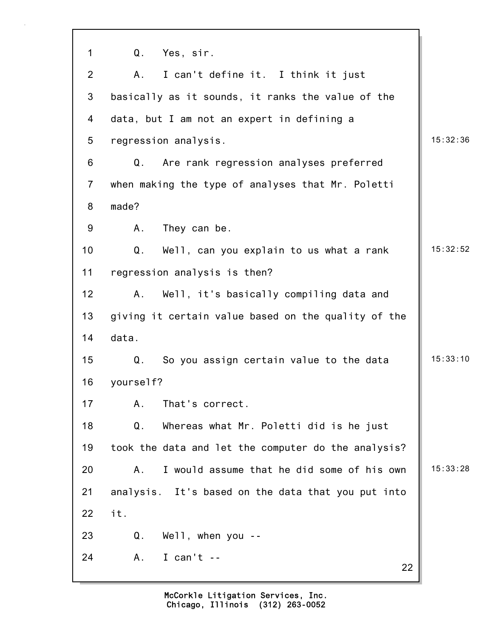| $\mathbf{1}$    | Q.<br>Yes, sir.                                     |          |
|-----------------|-----------------------------------------------------|----------|
| $\overline{2}$  | I can't define it. I think it just<br>A.            |          |
| $\mathbf{3}$    | basically as it sounds, it ranks the value of the   |          |
| $\overline{4}$  | data, but I am not an expert in defining a          |          |
| $5\phantom{.0}$ | regression analysis.                                | 15:32:36 |
| 6               | Q.<br>Are rank regression analyses preferred        |          |
| $\overline{7}$  | when making the type of analyses that Mr. Poletti   |          |
| 8               | made?                                               |          |
| $9\,$           | They can be.<br>А.                                  |          |
| 10              | Well, can you explain to us what a rank<br>Q.       | 15:32:52 |
| 11              | regression analysis is then?                        |          |
| 12 <sub>2</sub> | Well, it's basically compiling data and<br>А.       |          |
| 13              | giving it certain value based on the quality of the |          |
| 14              | data.                                               |          |
| 15              | Q.<br>So you assign certain value to the data       | 15:33:10 |
| 16              | yourself?                                           |          |
| 17              | That's correct.<br>A.                               |          |
| 18              | Q.<br>Whereas what Mr. Poletti did is he just       |          |
| 19              | took the data and let the computer do the analysis? |          |
| 20              | I would assume that he did some of his own<br>A.    | 15:33:28 |
| 21              | analysis. It's based on the data that you put into  |          |
| 22              | it.                                                 |          |
| 23              | $We11$ , when you --<br>Q.                          |          |
| 24              | I can't $-$<br>A.,<br>22                            |          |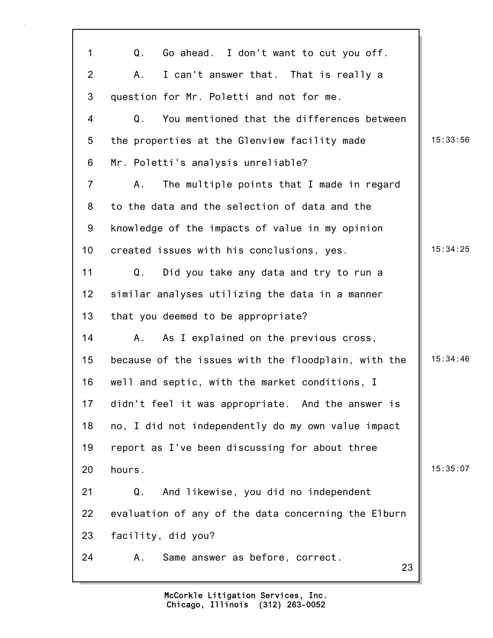| $\mathbf 1$     | Q.<br>Go ahead. I don't want to cut you off.        |          |
|-----------------|-----------------------------------------------------|----------|
| $\overline{2}$  | I can't answer that. That is really a<br>Α.         |          |
| 3               | question for Mr. Poletti and not for me.            |          |
| 4               | You mentioned that the differences between<br>Q.    |          |
| 5               | the properties at the Glenview facility made        | 15:33:56 |
| 6               | Mr. Poletti's analysis unreliable?                  |          |
| $\overline{7}$  | The multiple points that I made in regard<br>Α.     |          |
| 8               | to the data and the selection of data and the       |          |
| 9               | knowledge of the impacts of value in my opinion     |          |
| 10              | created issues with his conclusions, yes.           | 15:34:25 |
| 11              | Q.<br>Did you take any data and try to run a        |          |
| 12              | similar analyses utilizing the data in a manner     |          |
| 13              | that you deemed to be appropriate?                  |          |
| 14              | As I explained on the previous cross,<br>A.         |          |
| 15              | because of the issues with the floodplain, with the | 15:34:46 |
| 16              | well and septic, with the market conditions, I      |          |
| 17 <sub>1</sub> | didn't feel it was appropriate. And the answer is   |          |
| 18              | no, I did not independently do my own value impact  |          |
| 19              | report as I've been discussing for about three      |          |
| 20              | hours.                                              | 15:35:07 |
| 21              | And likewise, you did no independent<br>Q.          |          |
| 22              | evaluation of any of the data concerning the Elburn |          |
| 23              | facility, did you?                                  |          |
| 24              | Same answer as before, correct.<br>Α.<br>23         |          |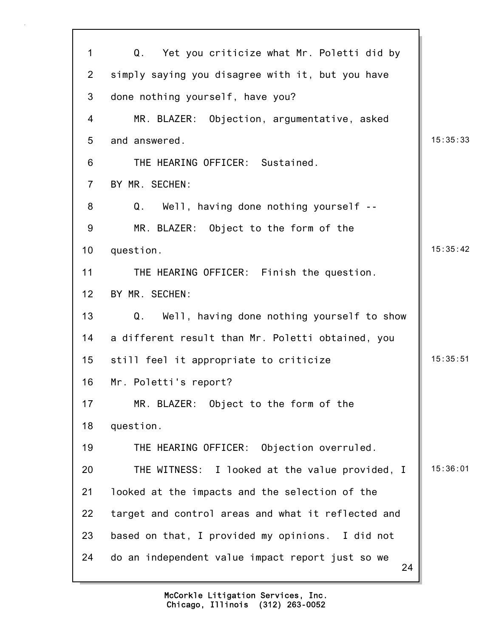| 1              | Q.<br>Yet you criticize what Mr. Poletti did by        |          |
|----------------|--------------------------------------------------------|----------|
| $\overline{2}$ | simply saying you disagree with it, but you have       |          |
| 3              | done nothing yourself, have you?                       |          |
| 4              | MR. BLAZER: Objection, argumentative, asked            |          |
| 5              | and answered.                                          | 15:35:33 |
| 6              | THE HEARING OFFICER: Sustained.                        |          |
| $\overline{7}$ | BY MR. SECHEN:                                         |          |
| 8              | Well, having done nothing yourself --<br>Q.            |          |
| 9              | MR. BLAZER: Object to the form of the                  |          |
| 10             | question.                                              | 15:35:42 |
| 11             | THE HEARING OFFICER: Finish the question.              |          |
| 12             | BY MR. SECHEN:                                         |          |
| 13             | Well, having done nothing yourself to show<br>Q.       |          |
| 14             | a different result than Mr. Poletti obtained, you      |          |
| 15             | still feel it appropriate to criticize                 | 15:35:51 |
| 16             | Mr. Poletti's report?                                  |          |
| 17             | MR. BLAZER: Object to the form of the                  |          |
| 18             | question.                                              |          |
| 19             | THE HEARING OFFICER: Objection overruled.              |          |
| 20             | THE WITNESS: I looked at the value provided, I         | 15:36:01 |
| 21             | looked at the impacts and the selection of the         |          |
| 22             | target and control areas and what it reflected and     |          |
| 23             | based on that, I provided my opinions. I did not       |          |
| 24             | do an independent value impact report just so we<br>24 |          |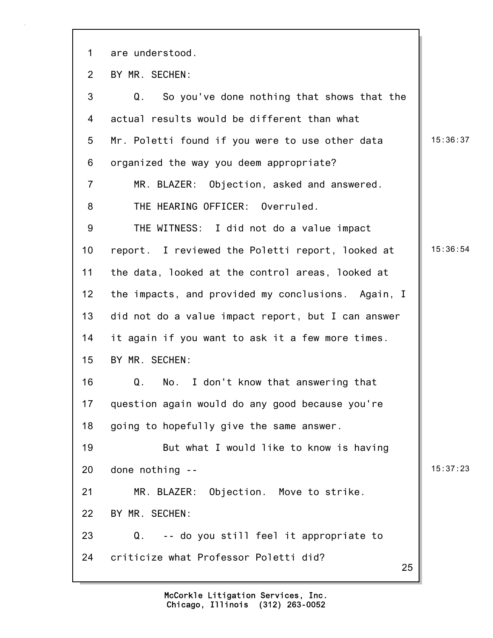25 1 are understood. 2 BY MR. SECHEN: 3 Q. So you've done nothing that shows that the 4 actual results would be different than what 5 Mr. Poletti found if you were to use other data | 15:36:37 6 organized the way you deem appropriate? 7 MR. BLAZER: Objection, asked and answered. 8 THE HEARING OFFICER: Overruled. 9 THE WITNESS: I did not do a value impact 10 report. I reviewed the Poletti report, looked at | 15:36:54 11 the data, looked at the control areas, looked at 12 the impacts, and provided my conclusions. Again, I 13 did not do a value impact report, but I can answer 14 it again if you want to ask it a few more times. 15 BY MR. SECHEN: 16 Q. No. I don't know that answering that 17 question again would do any good because you're 18 going to hopefully give the same answer. 19 But what I would like to know is having 20 done nothing -- 15:37:23 21 MR. BLAZER: Objection. Move to strike. 22 BY MR. SECHEN: 23 Q. -- do you still feel it appropriate to 24 criticize what Professor Poletti did?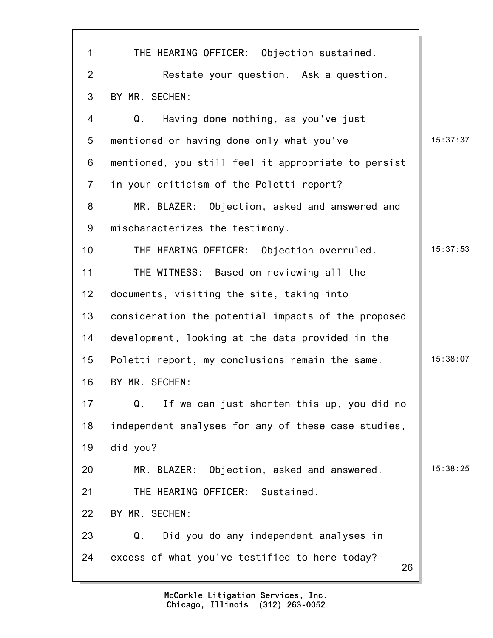| $\mathbf{1}$   | THE HEARING OFFICER: Objection sustained.            |          |
|----------------|------------------------------------------------------|----------|
| $\overline{2}$ | Restate your question. Ask a question.               |          |
| 3              | BY MR. SECHEN:                                       |          |
| 4              | Q.<br>Having done nothing, as you've just            |          |
| 5              | mentioned or having done only what you've            | 15:37:37 |
| 6              | mentioned, you still feel it appropriate to persist  |          |
| $\overline{7}$ | in your criticism of the Poletti report?             |          |
| 8              | MR. BLAZER: Objection, asked and answered and        |          |
| 9              | mischaracterizes the testimony.                      |          |
| 10             | THE HEARING OFFICER: Objection overruled.            | 15:37:53 |
| 11             | THE WITNESS: Based on reviewing all the              |          |
| 12             | documents, visiting the site, taking into            |          |
| 13             | consideration the potential impacts of the proposed  |          |
| 14             | development, looking at the data provided in the     |          |
| 15             | Poletti report, my conclusions remain the same.      | 15:38:07 |
| 16             | BY MR. SECHEN:                                       |          |
| 17             | Q.<br>If we can just shorten this up, you did no     |          |
| 18             | independent analyses for any of these case studies,  |          |
| 19             | did you?                                             |          |
| 20             | MR. BLAZER: Objection, asked and answered.           | 15:38:25 |
| 21             | THE HEARING OFFICER: Sustained.                      |          |
| 22             | BY MR. SECHEN:                                       |          |
| 23             | Q.<br>Did you do any independent analyses in         |          |
| 24             | excess of what you've testified to here today?<br>26 |          |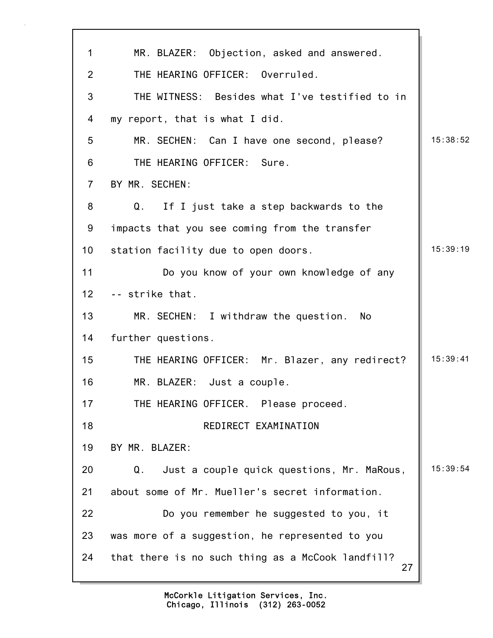| $\mathbf{1}$    | MR. BLAZER: Objection, asked and answered.              |          |
|-----------------|---------------------------------------------------------|----------|
| $\overline{2}$  | THE HEARING OFFICER: Overruled.                         |          |
| 3               | THE WITNESS: Besides what I've testified to in          |          |
| 4               | my report, that is what I did.                          |          |
| 5               | MR. SECHEN: Can I have one second, please?              | 15:38:52 |
| 6               | THE HEARING OFFICER:<br>Sure.                           |          |
| $\overline{7}$  | BY MR. SECHEN:                                          |          |
| 8               | Q.<br>If I just take a step backwards to the            |          |
| 9               | impacts that you see coming from the transfer           |          |
| 10              | station facility due to open doors.                     | 15:39:19 |
| 11              | Do you know of your own knowledge of any                |          |
| 12 <sub>2</sub> | -- strike that.                                         |          |
| 13              | MR. SECHEN: I withdraw the question.<br>No              |          |
| 14              | further questions.                                      |          |
| 15              | THE HEARING OFFICER: Mr. Blazer, any redirect?          | 15:39:41 |
| 16              | MR. BLAZER: Just a couple.                              |          |
| 17              | THE HEARING OFFICER. Please proceed.                    |          |
| 18              | REDIRECT EXAMINATION                                    |          |
| 19              | BY MR. BLAZER:                                          |          |
| 20              | Just a couple quick questions, Mr. MaRous,<br>Q.        | 15:39:54 |
| 21              | about some of Mr. Mueller's secret information.         |          |
| 22              | Do you remember he suggested to you, it                 |          |
| 23              | was more of a suggestion, he represented to you         |          |
| 24              | that there is no such thing as a McCook landfill?<br>27 |          |
|                 |                                                         |          |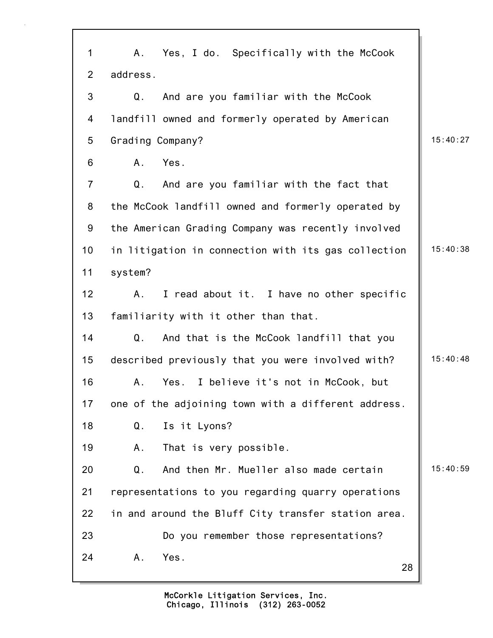28 1 A. Yes, I do. Specifically with the McCook 2 address. 3 Q. And are you familiar with the McCook 4 landfill owned and formerly operated by American 5 Grading Company? 15:40:27 6 A. Yes. 7 Q. And are you familiar with the fact that 8 the McCook landfill owned and formerly operated by 9 the American Grading Company was recently involved 10 in litigation in connection with its gas collection | 15:40:38 11 system? 12 A. I read about it. I have no other specific 13 familiarity with it other than that. 14 Q. And that is the McCook landfill that you 15 described previously that you were involved with? | 15:40:48 16 A. Yes. I believe it's not in McCook, but 17 one of the adjoining town with a different address. 18 Q. Is it Lyons? 19 A. That is very possible. 20 Q. And then Mr. Mueller also made certain 15:40:59 21 representations to you regarding quarry operations 22 in and around the Bluff City transfer station area. 23 Do you remember those representations? 24 A. Yes.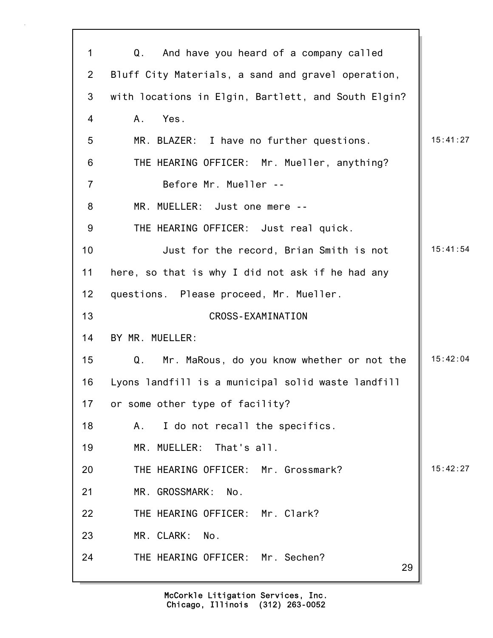| 1              | And have you heard of a company called<br>Q.        |          |
|----------------|-----------------------------------------------------|----------|
| $\overline{2}$ | Bluff City Materials, a sand and gravel operation,  |          |
| 3              | with locations in Elgin, Bartlett, and South Elgin? |          |
| 4              | Yes.<br>A.                                          |          |
| 5              | MR. BLAZER: I have no further questions.            | 15:41:27 |
| 6              | THE HEARING OFFICER: Mr. Mueller, anything?         |          |
| $\overline{7}$ | Before Mr. Mueller --                               |          |
| 8              | MR. MUELLER: Just one mere --                       |          |
| 9              | THE HEARING OFFICER: Just real quick.               |          |
| 10             | Just for the record, Brian Smith is not             | 15:41:54 |
| 11             | here, so that is why I did not ask if he had any    |          |
| 12             | questions. Please proceed, Mr. Mueller.             |          |
| 13             | <b>CROSS-EXAMINATION</b>                            |          |
| 14             | BY MR. MUELLER:                                     |          |
| 15             | Mr. MaRous, do you know whether or not the<br>Q.    | 15:42:04 |
| 16             | Lyons landfill is a municipal solid waste landfill  |          |
| 17             | or some other type of facility?                     |          |
| 18             | I do not recall the specifics.<br>А.                |          |
| 19             | MR. MUELLER: That's all.                            |          |
| 20             | THE HEARING OFFICER: Mr. Grossmark?                 | 15:42:27 |
| 21             | MR. GROSSMARK: No.                                  |          |
| 22             | THE HEARING OFFICER: Mr. Clark?                     |          |
| 23             | MR. CLARK:<br>No.                                   |          |
| 24             | THE HEARING OFFICER: Mr. Sechen?<br>29              |          |
|                |                                                     |          |

٦Ì,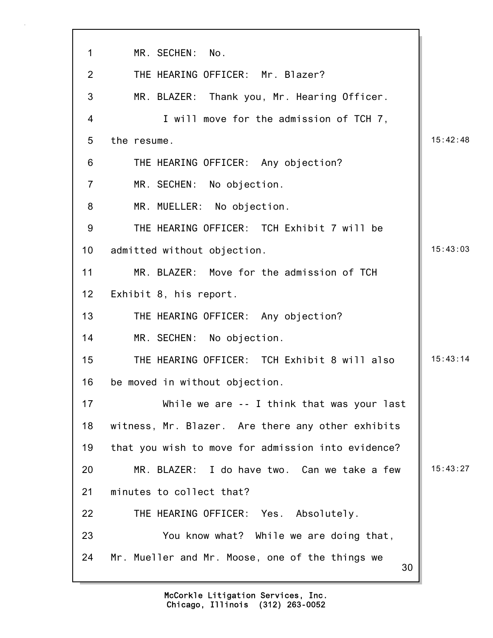| $\mathbf 1$    | MR. SECHEN:<br>No.                                    |          |
|----------------|-------------------------------------------------------|----------|
| 2              | THE HEARING OFFICER: Mr. Blazer?                      |          |
| 3              | MR. BLAZER: Thank you, Mr. Hearing Officer.           |          |
| 4              | I will move for the admission of TCH 7,               |          |
| 5              | the resume.                                           | 15:42:48 |
| 6              | THE HEARING OFFICER: Any objection?                   |          |
| $\overline{7}$ | MR. SECHEN: No objection.                             |          |
| 8              | MR. MUELLER: No objection.                            |          |
| 9              | THE HEARING OFFICER: TCH Exhibit 7 will be            |          |
| 10             | admitted without objection.                           | 15:43:03 |
| 11             | MR. BLAZER: Move for the admission of TCH             |          |
| 12             | Exhibit 8, his report.                                |          |
| 13             | THE HEARING OFFICER: Any objection?                   |          |
| 14             | MR. SECHEN: No objection.                             |          |
| 15             | THE HEARING OFFICER: TCH Exhibit 8 will also          | 15:43:14 |
| 16             | be moved in without objection.                        |          |
| 17             | While we are -- I think that was your last            |          |
| 18             | witness, Mr. Blazer. Are there any other exhibits     |          |
| 19             | that you wish to move for admission into evidence?    |          |
| 20             | MR. BLAZER: I do have two. Can we take a few          | 15:43:27 |
| 21             | minutes to collect that?                              |          |
| 22             | THE HEARING OFFICER: Yes. Absolutely.                 |          |
| 23             | You know what? While we are doing that,               |          |
| 24             | Mr. Mueller and Mr. Moose, one of the things we<br>30 |          |

 $\overline{\phantom{a}}$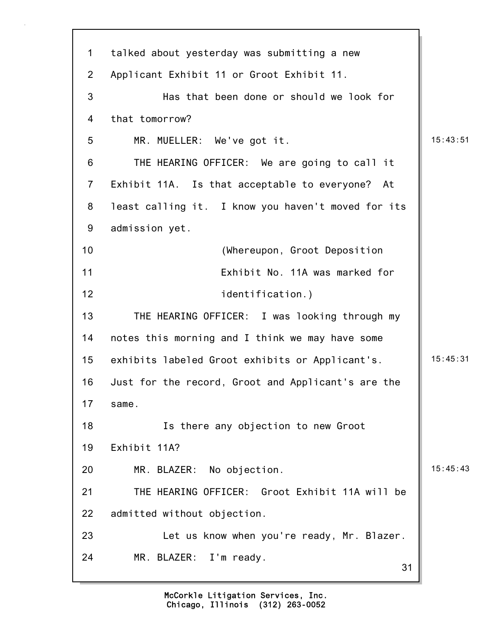31 1 talked about yesterday was submitting a new 2 Applicant Exhibit 11 or Groot Exhibit 11. 3 Has that been done or should we look for 4 that tomorrow? 5 MR. MUELLER: We've got it. 15:43:51 6 THE HEARING OFFICER: We are going to call it 7 Exhibit 11A. Is that acceptable to everyone? At 8 least calling it. I know you haven't moved for its 9 admission yet. 10 (Whereupon, Groot Deposition 11 Exhibit No. 11A was marked for 12 identification.) 13 THE HEARING OFFICER: I was looking through my 14 notes this morning and I think we may have some 15 exhibits labeled Groot exhibits or Applicant's. | 15:45:31 16 Just for the record, Groot and Applicant's are the 17 same. 18 Is there any objection to new Groot 19 Exhibit 11A? 20 MR. BLAZER: No objection. 15:45:43 21 THE HEARING OFFICER: Groot Exhibit 11A will be 22 admitted without objection. 23 Let us know when you're ready, Mr. Blazer. 24 MR. BLAZER: I'm ready.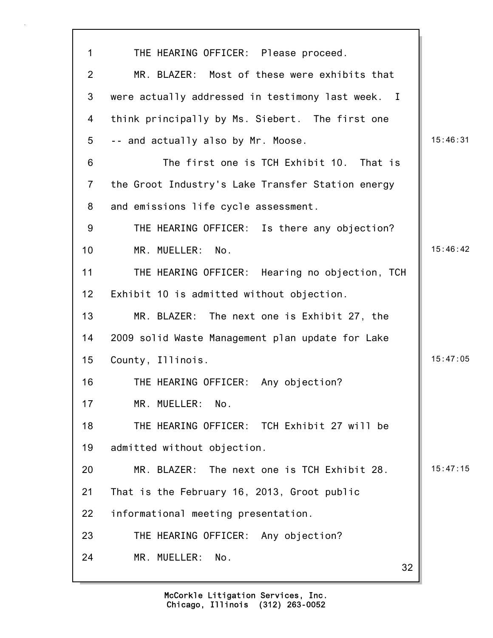| $\mathbf{1}$    | THE HEARING OFFICER: Please proceed.              |          |
|-----------------|---------------------------------------------------|----------|
| $\overline{2}$  | MR. BLAZER: Most of these were exhibits that      |          |
| 3               | were actually addressed in testimony last week. I |          |
| 4               | think principally by Ms. Siebert. The first one   |          |
| 5               | -- and actually also by Mr. Moose.                | 15:46:31 |
| 6               | The first one is TCH Exhibit 10. That is          |          |
| $\overline{7}$  | the Groot Industry's Lake Transfer Station energy |          |
| 8               | and emissions life cycle assessment.              |          |
| 9               | THE HEARING OFFICER: Is there any objection?      |          |
| 10 <sup>1</sup> | MR. MUELLER: No.                                  | 15:46:42 |
| 11              | THE HEARING OFFICER: Hearing no objection, TCH    |          |
| 12              | Exhibit 10 is admitted without objection.         |          |
| 13              | MR. BLAZER: The next one is Exhibit 27, the       |          |
| 14              | 2009 solid Waste Management plan update for Lake  |          |
| 15              | County, Illinois.                                 | 15:47:05 |
| 16              | THE HEARING OFFICER: Any objection?               |          |
| 17              | MR. MUELLER:<br>No.                               |          |
| 18              | THE HEARING OFFICER: TCH Exhibit 27 will be       |          |
| 19              | admitted without objection.                       |          |
| 20              | The next one is TCH Exhibit 28.<br>MR. BLAZER:    | 15:47:15 |
| 21              | That is the February 16, 2013, Groot public       |          |
| 22              | informational meeting presentation.               |          |
| 23              | THE HEARING OFFICER: Any objection?               |          |
| 24              | MR. MUELLER:<br>No.<br>32                         |          |

7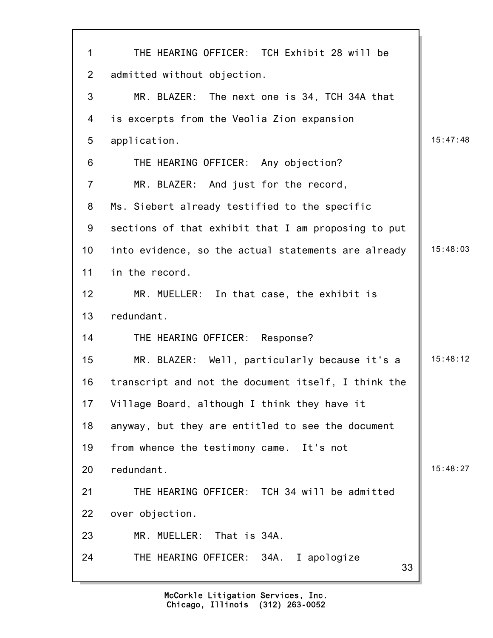| 1              | THE HEARING OFFICER: TCH Exhibit 28 will be         |          |
|----------------|-----------------------------------------------------|----------|
| $\overline{2}$ | admitted without objection.                         |          |
| 3              | MR. BLAZER: The next one is 34, TCH 34A that        |          |
| 4              | is excerpts from the Veolia Zion expansion          |          |
| 5              | application.                                        | 15:47:48 |
| 6              | THE HEARING OFFICER: Any objection?                 |          |
| $\overline{7}$ | MR. BLAZER: And just for the record,                |          |
| 8              | Ms. Siebert already testified to the specific       |          |
| 9              | sections of that exhibit that I am proposing to put |          |
| 10             | into evidence, so the actual statements are already | 15:48:03 |
| 11             | in the record.                                      |          |
| 12             | MR. MUELLER: In that case, the exhibit is           |          |
| 13             | redundant.                                          |          |
| 14             | THE HEARING OFFICER: Response?                      |          |
| 15             | MR. BLAZER: Well, particularly because it's a       | 15:48:12 |
| 16             | transcript and not the document itself, I think the |          |
| 17             | Village Board, although I think they have it        |          |
| 18             | anyway, but they are entitled to see the document   |          |
| 19             | from whence the testimony came. It's not            |          |
| 20             | redundant.                                          | 15:48:27 |
| 21             | THE HEARING OFFICER: TCH 34 will be admitted        |          |
| 22             | over objection.                                     |          |
| 23             | MR. MUELLER: That is 34A.                           |          |
| 24             | THE HEARING OFFICER: 34A. I apologize<br>33         |          |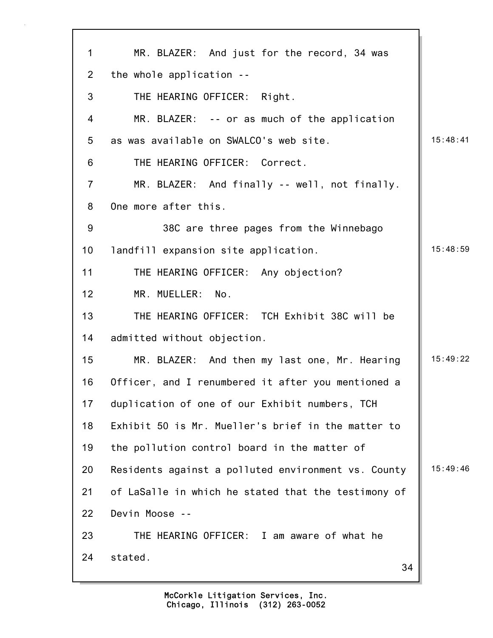| $\mathbf 1$    | MR. BLAZER: And just for the record, 34 was         |          |
|----------------|-----------------------------------------------------|----------|
| $\overline{2}$ | the whole application --                            |          |
| 3              | THE HEARING OFFICER: Right.                         |          |
| 4              | MR. BLAZER: -- or as much of the application        |          |
| 5              | as was available on SWALCO's web site.              | 15:48:41 |
| 6              | THE HEARING OFFICER: Correct.                       |          |
| $\overline{7}$ | MR. BLAZER: And finally -- well, not finally.       |          |
| 8              | One more after this.                                |          |
| 9              | 38C are three pages from the Winnebago              |          |
| 10             | landfill expansion site application.                | 15:48:59 |
| 11             | THE HEARING OFFICER: Any objection?                 |          |
| 12             | MR. MUELLER:<br>No.                                 |          |
| 13             | THE HEARING OFFICER: TCH Exhibit 38C will be        |          |
| 14             | admitted without objection.                         |          |
| 15             | MR. BLAZER: And then my last one, Mr. Hearing       | 15:49:22 |
| 16             | Officer, and I renumbered it after you mentioned a  |          |
| 17             | duplication of one of our Exhibit numbers, TCH      |          |
| 18             | Exhibit 50 is Mr. Mueller's brief in the matter to  |          |
| 19             | the pollution control board in the matter of        |          |
| 20             | Residents against a polluted environment vs. County | 15:49:46 |
| 21             | of LaSalle in which he stated that the testimony of |          |
| 22             | Devin Moose --                                      |          |
| 23             | THE HEARING OFFICER: I am aware of what he          |          |
| 24             | stated.<br>34                                       |          |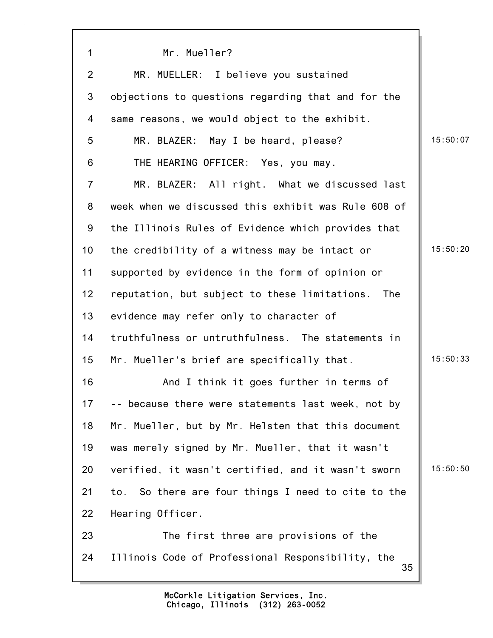| $\mathbf 1$     | Mr. Mueller?                                            |          |
|-----------------|---------------------------------------------------------|----------|
| $\overline{2}$  | MR. MUELLER: I believe you sustained                    |          |
| 3               | objections to questions regarding that and for the      |          |
| 4               | same reasons, we would object to the exhibit.           |          |
| 5               | MR. BLAZER: May I be heard, please?                     | 15:50:07 |
| 6               | THE HEARING OFFICER: Yes, you may.                      |          |
| $\overline{7}$  | MR. BLAZER: All right. What we discussed last           |          |
| 8               | week when we discussed this exhibit was Rule 608 of     |          |
| 9               | the Illinois Rules of Evidence which provides that      |          |
| 10 <sub>1</sub> | the credibility of a witness may be intact or           | 15:50:20 |
| 11              | supported by evidence in the form of opinion or         |          |
| 12 <sub>2</sub> | reputation, but subject to these limitations.<br>The    |          |
| 13              | evidence may refer only to character of                 |          |
| 14              | truthfulness or untruthfulness. The statements in       |          |
| 15              | Mr. Mueller's brief are specifically that.              | 15:50:33 |
| 16              | And I think it goes further in terms of                 |          |
| 17              | -- because there were statements last week, not by      |          |
| 18              | Mr. Mueller, but by Mr. Helsten that this document      |          |
| 19              | was merely signed by Mr. Mueller, that it wasn't        |          |
| 20              | verified, it wasn't certified, and it wasn't sworn      | 15:50:50 |
| 21              | to. So there are four things I need to cite to the      |          |
| 22              | Hearing Officer.                                        |          |
| 23              | The first three are provisions of the                   |          |
| 24              | Illinois Code of Professional Responsibility, the<br>35 |          |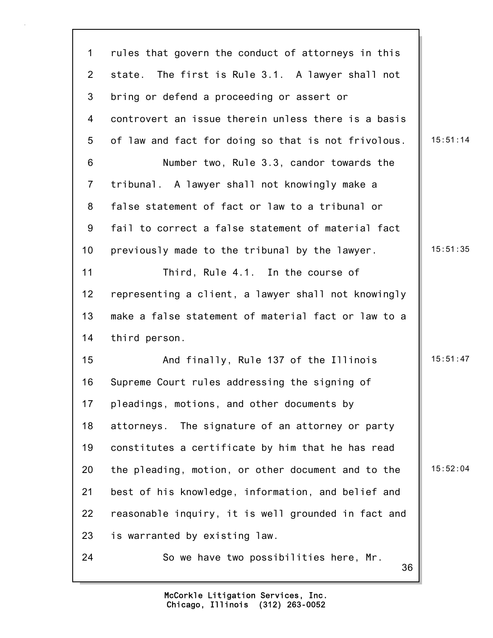36 1 rules that govern the conduct of attorneys in this 2 state. The first is Rule 3.1. A lawyer shall not 3 bring or defend a proceeding or assert or 4 controvert an issue therein unless there is a basis 5 of law and fact for doing so that is not frivolous.  $\parallel$  15:51:14 6 Number two, Rule 3.3, candor towards the 7 tribunal. A lawyer shall not knowingly make a 8 false statement of fact or law to a tribunal or 9 fail to correct a false statement of material fact 10 previously made to the tribunal by the lawyer. 15:51:35 11 Third, Rule 4.1. In the course of 12 representing a client, a lawyer shall not knowingly 13 make a false statement of material fact or law to a 14 third person. 15 And finally, Rule 137 of the Illinois 15:51:47 16 Supreme Court rules addressing the signing of 17 pleadings, motions, and other documents by 18 attorneys. The signature of an attorney or party 19 constitutes a certificate by him that he has read 20 the pleading, motion, or other document and to the  $\parallel$  15:52:04 21 best of his knowledge, information, and belief and 22 reasonable inquiry, it is well grounded in fact and 23 is warranted by existing law. 24 So we have two possibilities here, Mr.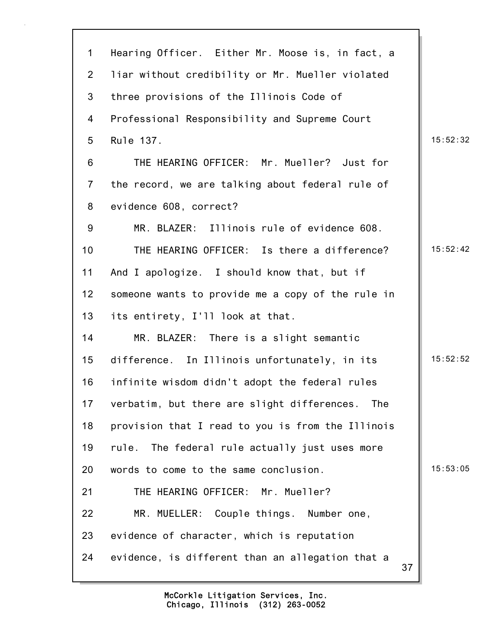| 1               | Hearing Officer. Either Mr. Moose is, in fact, a       |          |
|-----------------|--------------------------------------------------------|----------|
| $\overline{2}$  | liar without credibility or Mr. Mueller violated       |          |
| 3               | three provisions of the Illinois Code of               |          |
| 4               | Professional Responsibility and Supreme Court          |          |
| 5               | Rule 137.                                              | 15:52:32 |
| 6               | THE HEARING OFFICER: Mr. Mueller? Just for             |          |
| $\overline{7}$  | the record, we are talking about federal rule of       |          |
| 8               | evidence 608, correct?                                 |          |
| 9               | MR. BLAZER: Illinois rule of evidence 608.             |          |
| 10 <sup>1</sup> | THE HEARING OFFICER: Is there a difference?            | 15:52:42 |
| 11              | And I apologize. I should know that, but if            |          |
| 12              | someone wants to provide me a copy of the rule in      |          |
| 13              | its entirety, I'll look at that.                       |          |
| 14              | MR. BLAZER: There is a slight semantic                 |          |
| 15              | difference. In Illinois unfortunately, in its          | 15:52:52 |
| 16              | infinite wisdom didn't adopt the federal rules         |          |
| 17              | verbatim, but there are slight differences. The        |          |
| 18              | provision that I read to you is from the Illinois      |          |
| 19              | The federal rule actually just uses more<br>rule.      |          |
| 20              | words to come to the same conclusion.                  | 15:53:05 |
| 21              | THE HEARING OFFICER: Mr. Mueller?                      |          |
| 22              | MR. MUELLER: Couple things. Number one,                |          |
| 23              | evidence of character, which is reputation             |          |
| 24              | evidence, is different than an allegation that a<br>37 |          |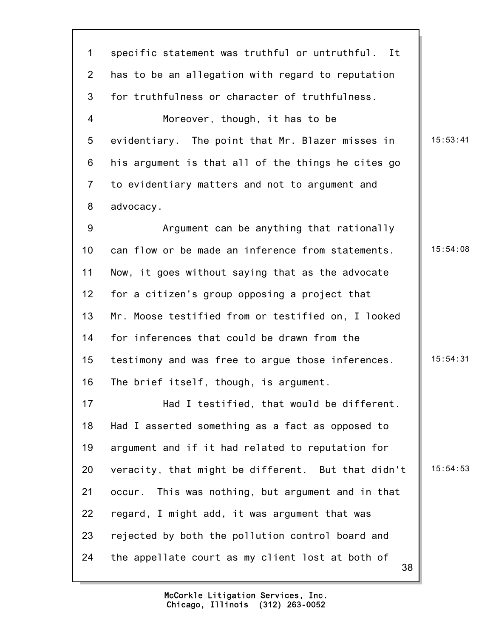38 1 specific statement was truthful or untruthful. It 2 has to be an allegation with regard to reputation 3 for truthfulness or character of truthfulness. 4 Moreover, though, it has to be 5 evidentiary. The point that Mr. Blazer misses in | 15:53:41 6 his argument is that all of the things he cites go 7 to evidentiary matters and not to argument and 8 advocacy. 9 Argument can be anything that rationally 10 can flow or be made an inference from statements. 15:54:08 11 Now, it goes without saying that as the advocate 12 for a citizen's group opposing a project that 13 Mr. Moose testified from or testified on, I looked 14 for inferences that could be drawn from the 15 testimony and was free to argue those inferences. | 15:54:31 16 The brief itself, though, is argument. 17 Had I testified, that would be different. 18 Had I asserted something as a fact as opposed to 19 argument and if it had related to reputation for 20 veracity, that might be different. But that didn't  $\parallel$  15:54:53 21 occur. This was nothing, but argument and in that 22 regard, I might add, it was argument that was 23 rejected by both the pollution control board and 24 the appellate court as my client lost at both of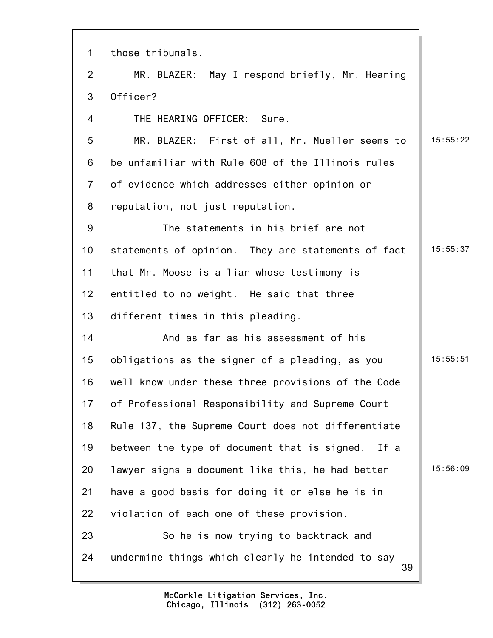| $\mathbf 1$    | those tribunals.                                        |          |
|----------------|---------------------------------------------------------|----------|
| $\overline{2}$ | MR. BLAZER: May I respond briefly, Mr. Hearing          |          |
| 3              | Officer?                                                |          |
| 4              | THE HEARING OFFICER: Sure.                              |          |
| 5              | MR. BLAZER: First of all, Mr. Mueller seems to          | 15:55:22 |
| 6              | be unfamiliar with Rule 608 of the Illinois rules       |          |
| $\overline{7}$ | of evidence which addresses either opinion or           |          |
| 8              | reputation, not just reputation.                        |          |
| 9              | The statements in his brief are not                     |          |
| 10             | statements of opinion. They are statements of fact      | 15:55:37 |
| 11             | that Mr. Moose is a liar whose testimony is             |          |
| 12             | entitled to no weight. He said that three               |          |
| 13             | different times in this pleading.                       |          |
| 14             | And as far as his assessment of his                     |          |
| 15             | obligations as the signer of a pleading, as you         | 15:55:51 |
| 16             | well know under these three provisions of the Code      |          |
| 17             | of Professional Responsibility and Supreme Court        |          |
| 18             | Rule 137, the Supreme Court does not differentiate      |          |
| 19             | between the type of document that is signed.<br>If a    |          |
| 20             | lawyer signs a document like this, he had better        | 15:56:09 |
| 21             | have a good basis for doing it or else he is in         |          |
| 22             | violation of each one of these provision.               |          |
| 23             | So he is now trying to backtrack and                    |          |
| 24             | undermine things which clearly he intended to say<br>39 |          |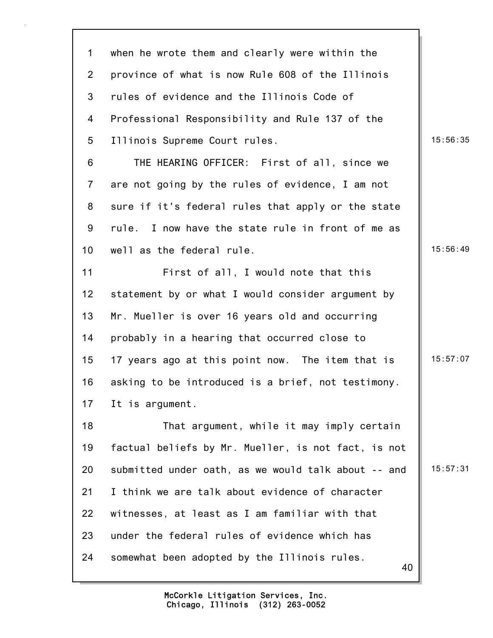| $\mathbf 1$    | when he wrote them and clearly were within the      |          |
|----------------|-----------------------------------------------------|----------|
| $\overline{2}$ | province of what is now Rule 608 of the Illinois    |          |
| 3              | rules of evidence and the Illinois Code of          |          |
| 4              | Professional Responsibility and Rule 137 of the     |          |
| 5              | Illinois Supreme Court rules.                       | 15:56:35 |
| 6              | THE HEARING OFFICER: First of all, since we         |          |
| $\overline{7}$ | are not going by the rules of evidence, I am not    |          |
| 8              | sure if it's federal rules that apply or the state  |          |
| 9              | rule. I now have the state rule in front of me as   |          |
| 10             | well as the federal rule.                           | 15:56:49 |
| 11             | First of all, I would note that this                |          |
| 12             | statement by or what I would consider argument by   |          |
| 13             | Mr. Mueller is over 16 years old and occurring      |          |
| 14             | probably in a hearing that occurred close to        |          |
| 15             | 17 years ago at this point now. The item that is    | 15:57:07 |
| 16             | asking to be introduced is a brief, not testimony.  |          |
| 17             | It is argument.                                     |          |
| 18             | That argument, while it may imply certain           |          |
| 19             | factual beliefs by Mr. Mueller, is not fact, is not |          |
| 20             | submitted under oath, as we would talk about -- and | 15:57:31 |
| 21             | I think we are talk about evidence of character     |          |
| 22             | witnesses, at least as I am familiar with that      |          |
| 23             | under the federal rules of evidence which has       |          |
| 24             | somewhat been adopted by the Illinois rules.<br>40  |          |
|                |                                                     |          |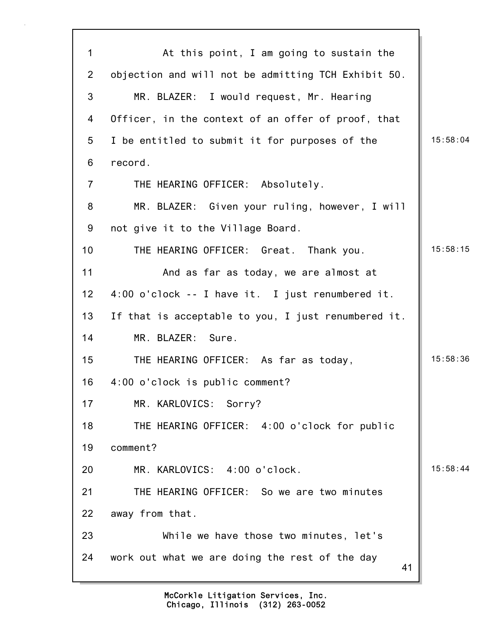41 1 At this point, I am going to sustain the 2 objection and will not be admitting TCH Exhibit 50. 3 MR. BLAZER: I would request, Mr. Hearing 4 Officer, in the context of an offer of proof, that 5 I be entitled to submit it for purposes of the  $\vert$  15:58:04 6 record. 7 THE HEARING OFFICER: Absolutely. 8 MR. BLAZER: Given your ruling, however, I will 9 not give it to the Village Board. 10 THE HEARING OFFICER: Great. Thank you. 15:58:15 11 And as far as today, we are almost at 12 4:00 o'clock -- I have it. I just renumbered it. 13 If that is acceptable to you, I just renumbered it. 14 MR. BLAZER: Sure. 15 THE HEARING OFFICER: As far as today, 15:58:36 16 4:00 o'clock is public comment? 17 MR. KARLOVICS: Sorry? 18 THE HEARING OFFICER: 4:00 o'clock for public 19 comment? 20 MR. KARLOVICS: 4:00 o'clock. 15:58:44 21 THE HEARING OFFICER: So we are two minutes 22 away from that. 23 While we have those two minutes, let's 24 work out what we are doing the rest of the day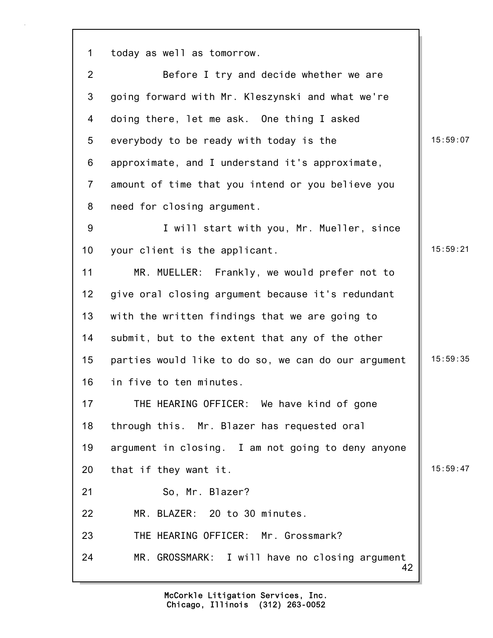42 1 today as well as tomorrow. 2 Before I try and decide whether we are 3 going forward with Mr. Kleszynski and what we're 4 doing there, let me ask. One thing I asked 5 everybody to be ready with today is the 15:59:07 6 approximate, and I understand it's approximate, 7 amount of time that you intend or you believe you 8 need for closing argument. 9 I will start with you, Mr. Mueller, since 10 your client is the applicant. 15:59:21 11 MR. MUELLER: Frankly, we would prefer not to 12 give oral closing argument because it's redundant 13 with the written findings that we are going to 14 submit, but to the extent that any of the other 15 parties would like to do so, we can do our argument  $\parallel$  15:59:35 16 in five to ten minutes. 17 THE HEARING OFFICER: We have kind of gone 18 through this. Mr. Blazer has requested oral 19 argument in closing. I am not going to deny anyone 20 that if they want it.  $\|$  15:59:47 21 So, Mr. Blazer? 22 MR. BLAZER: 20 to 30 minutes. 23 THE HEARING OFFICER: Mr. Grossmark? 24 MR. GROSSMARK: I will have no closing argument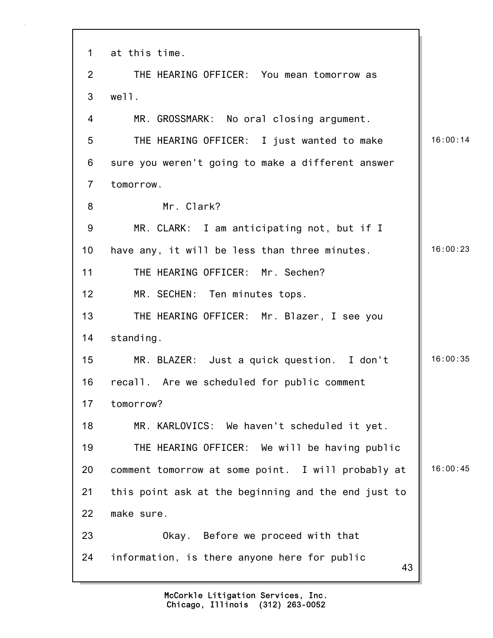| $\mathbf 1$    | at this time.                                       |          |
|----------------|-----------------------------------------------------|----------|
| $\overline{2}$ | THE HEARING OFFICER: You mean tomorrow as           |          |
| 3              | well.                                               |          |
|                |                                                     |          |
| 4              | MR. GROSSMARK: No oral closing argument.            |          |
| 5              | THE HEARING OFFICER: I just wanted to make          | 16:00:14 |
| 6              | sure you weren't going to make a different answer   |          |
| $\overline{7}$ | tomorrow.                                           |          |
| 8              | Mr. Clark?                                          |          |
| 9              | MR. CLARK: I am anticipating not, but if I          |          |
| 10             | have any, it will be less than three minutes.       | 16:00:23 |
| 11             | THE HEARING OFFICER: Mr. Sechen?                    |          |
| 12             | MR. SECHEN: Ten minutes tops.                       |          |
| 13             | THE HEARING OFFICER: Mr. Blazer, I see you          |          |
| 14             | standing.                                           |          |
| 15             | MR. BLAZER: Just a quick question. I don't          | 16:00:35 |
| 16             | recall. Are we scheduled for public comment         |          |
| 17             | tomorrow?                                           |          |
| 18             | MR. KARLOVICS: We haven't scheduled it yet.         |          |
| 19             | THE HEARING OFFICER: We will be having public       |          |
| 20             | comment tomorrow at some point. I will probably at  | 16:00:45 |
| 21             | this point ask at the beginning and the end just to |          |
| 22             | make sure.                                          |          |
| 23             | Okay. Before we proceed with that                   |          |
| 24             | information, is there anyone here for public<br>43  |          |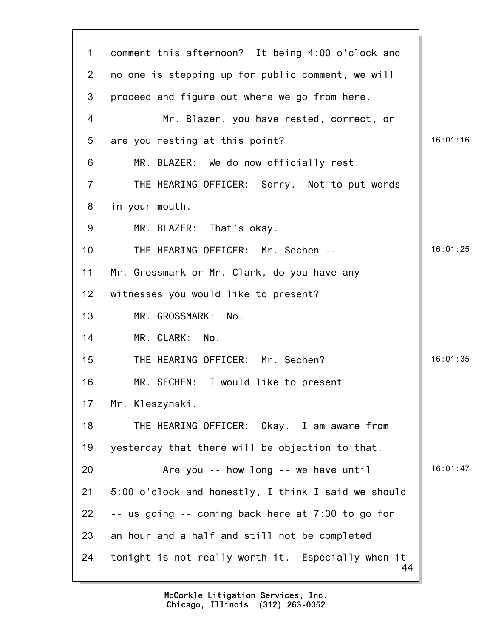| $\mathbf{1}$    | comment this afternoon? It being 4:00 o'clock and        |          |
|-----------------|----------------------------------------------------------|----------|
| $\overline{2}$  | no one is stepping up for public comment, we will        |          |
| 3               | proceed and figure out where we go from here.            |          |
| $\overline{4}$  | Mr. Blazer, you have rested, correct, or                 |          |
| $5\phantom{.0}$ | are you resting at this point?                           | 16:01:16 |
| 6               | MR. BLAZER: We do now officially rest.                   |          |
| $\overline{7}$  | THE HEARING OFFICER: Sorry. Not to put words             |          |
| 8               | in your mouth.                                           |          |
| 9               | MR. BLAZER: That's okay.                                 |          |
| 10              | THE HEARING OFFICER: Mr. Sechen --                       | 16:01:25 |
| 11              | Mr. Grossmark or Mr. Clark, do you have any              |          |
| 12 <sub>2</sub> | witnesses you would like to present?                     |          |
| 13              | MR. GROSSMARK:<br>No.                                    |          |
| 14              | MR. CLARK: No.                                           |          |
| 15              | THE HEARING OFFICER: Mr. Sechen?                         | 16:01:35 |
| 16              | MR. SECHEN: I would like to present                      |          |
| 17 <sub>1</sub> | Mr. Kleszynski.                                          |          |
| 18              | THE HEARING OFFICER: Okay. I am aware from               |          |
| 19              | yesterday that there will be objection to that.          |          |
| 20              | Are you -- how long -- we have until                     | 16:01:47 |
| 21              | 5:00 o'clock and honestly, I think I said we should      |          |
| 22              | -- us going -- coming back here at 7:30 to go for        |          |
| 23              | an hour and a half and still not be completed            |          |
| 24              | tonight is not really worth it. Especially when it<br>44 |          |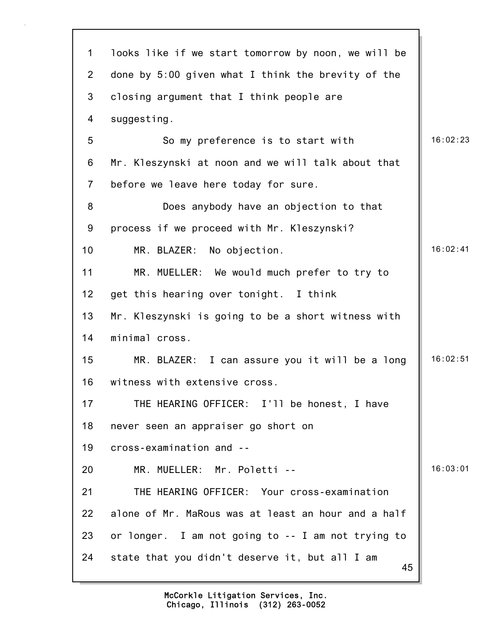| $\mathbf{1}$    | looks like if we start tomorrow by noon, we will be  |          |
|-----------------|------------------------------------------------------|----------|
| $\overline{2}$  | done by 5:00 given what I think the brevity of the   |          |
| 3               | closing argument that I think people are             |          |
| 4               | suggesting.                                          |          |
| 5               | So my preference is to start with                    | 16:02:23 |
| 6               | Mr. Kleszynski at noon and we will talk about that   |          |
| $\overline{7}$  | before we leave here today for sure.                 |          |
| 8               | Does anybody have an objection to that               |          |
| $9\,$           | process if we proceed with Mr. Kleszynski?           |          |
| 10 <sub>1</sub> | MR. BLAZER: No objection.                            | 16:02:41 |
| 11              | MR. MUELLER: We would much prefer to try to          |          |
| 12              | get this hearing over tonight. I think               |          |
| 13              | Mr. Kleszynski is going to be a short witness with   |          |
| 14              | minimal cross.                                       |          |
| 15              | MR. BLAZER: I can assure you it will be a long       | 16:02:51 |
| 16              | witness with extensive cross.                        |          |
| 17              | THE HEARING OFFICER: I'll be honest, I have          |          |
| 18              | never seen an appraiser go short on                  |          |
| 19              | cross-examination and --                             |          |
| 20              | MR. MUELLER: Mr. Poletti --                          | 16:03:01 |
| 21              | THE HEARING OFFICER: Your cross-examination          |          |
| 22              | alone of Mr. MaRous was at least an hour and a half  |          |
| 23              | or longer. I am not going to -- I am not trying to   |          |
| 24              | state that you didn't deserve it, but all I am<br>45 |          |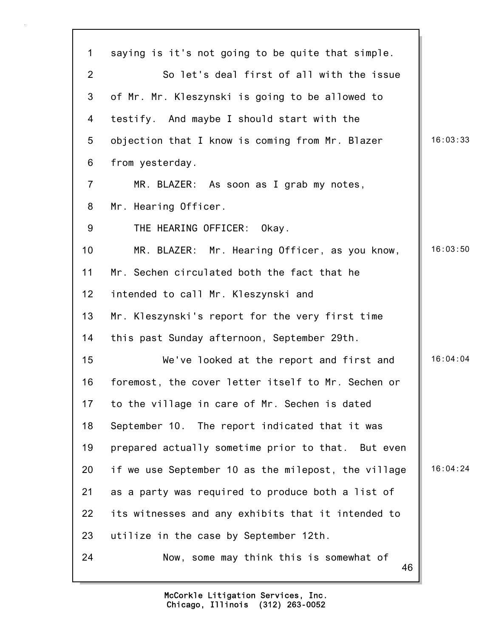| $\mathbf 1$    | saying is it's not going to be quite that simple.   |          |
|----------------|-----------------------------------------------------|----------|
| $\overline{2}$ | So let's deal first of all with the issue           |          |
| 3              | of Mr. Mr. Kleszynski is going to be allowed to     |          |
| 4              | testify. And maybe I should start with the          |          |
| 5              | objection that I know is coming from Mr. Blazer     | 16:03:33 |
| 6              | from yesterday.                                     |          |
| $\overline{7}$ | MR. BLAZER: As soon as I grab my notes,             |          |
| 8              | Mr. Hearing Officer.                                |          |
| 9              | THE HEARING OFFICER:<br>Okay.                       |          |
| 10             | MR. BLAZER: Mr. Hearing Officer, as you know,       | 16:03:50 |
| 11             | Mr. Sechen circulated both the fact that he         |          |
| 12             | intended to call Mr. Kleszynski and                 |          |
| 13             | Mr. Kleszynski's report for the very first time     |          |
| 14             | this past Sunday afternoon, September 29th.         |          |
| 15             | We've looked at the report and first and            | 16:04:04 |
| 16             | foremost, the cover letter itself to Mr. Sechen or  |          |
| 17             | to the village in care of Mr. Sechen is dated       |          |
| 18             | September 10. The report indicated that it was      |          |
| 19             | prepared actually sometime prior to that. But even  |          |
| 20             | if we use September 10 as the milepost, the village | 16:04:24 |
| 21             | as a party was required to produce both a list of   |          |
| 22             | its witnesses and any exhibits that it intended to  |          |
| 23             | utilize in the case by September 12th.              |          |
| 24             | Now, some may think this is somewhat of<br>46       |          |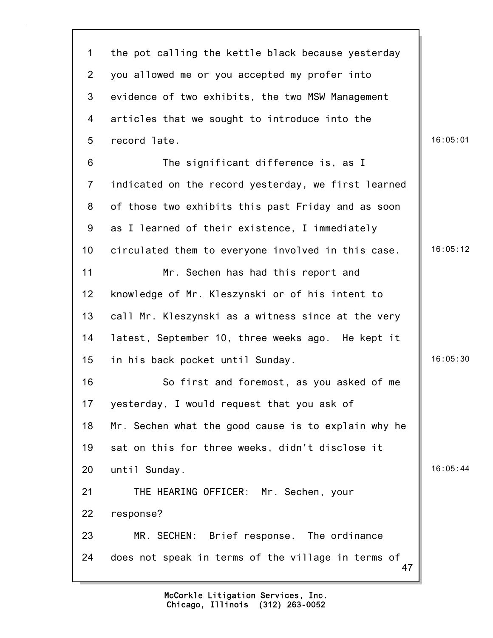47 1 the pot calling the kettle black because yesterday 2 you allowed me or you accepted my profer into 3 evidence of two exhibits, the two MSW Management 4 articles that we sought to introduce into the 5 record late. 16:05:01 6 The significant difference is, as I 7 indicated on the record yesterday, we first learned 8 of those two exhibits this past Friday and as soon 9 as I learned of their existence, I immediately 10 circulated them to everyone involved in this case. 16:05:12 11 Mr. Sechen has had this report and 12 knowledge of Mr. Kleszynski or of his intent to 13 call Mr. Kleszynski as a witness since at the very 14 latest, September 10, three weeks ago. He kept it 15 in his back pocket until Sunday. 16:05:30 16 So first and foremost, as you asked of me 17 yesterday, I would request that you ask of 18 Mr. Sechen what the good cause is to explain why he 19 sat on this for three weeks, didn't disclose it 20 until Sunday. 16:05:44 21 THE HEARING OFFICER: Mr. Sechen, your 22 response? 23 MR. SECHEN: Brief response. The ordinance 24 does not speak in terms of the village in terms of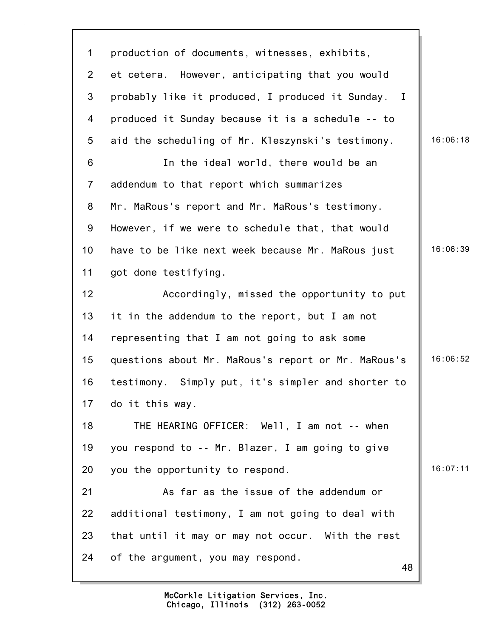48 1 production of documents, witnesses, exhibits, 2 et cetera. However, anticipating that you would 3 probably like it produced, I produced it Sunday. I 4 produced it Sunday because it is a schedule -- to 5 aid the scheduling of Mr. Kleszynski's testimony. | 16:06:18 6 In the ideal world, there would be an 7 addendum to that report which summarizes 8 Mr. MaRous's report and Mr. MaRous's testimony. 9 However, if we were to schedule that, that would 10 have to be like next week because Mr. MaRous just | 16:06:39 11 got done testifying. 12 Accordingly, missed the opportunity to put 13 it in the addendum to the report, but I am not 14 representing that I am not going to ask some 15 questions about Mr. MaRous's report or Mr. MaRous's 16:06:52 16 testimony. Simply put, it's simpler and shorter to 17 do it this way. 18 THE HEARING OFFICER: Well, I am not -- when 19 you respond to -- Mr. Blazer, I am going to give 20 you the opportunity to respond. 21 As far as the issue of the addendum or 22 additional testimony, I am not going to deal with 23 that until it may or may not occur. With the rest 24 of the argument, you may respond.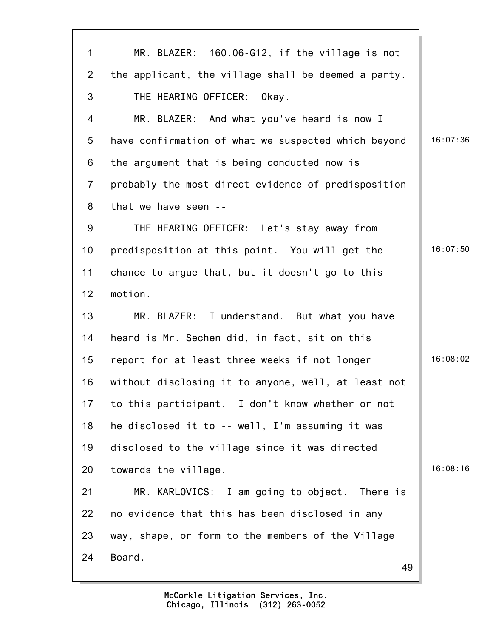| 1              | MR. BLAZER: 160.06-G12, if the village is not       |          |
|----------------|-----------------------------------------------------|----------|
| $\overline{2}$ | the applicant, the village shall be deemed a party. |          |
| 3              | THE HEARING OFFICER:<br>Okay.                       |          |
| 4              | MR. BLAZER: And what you've heard is now I          |          |
| 5              | have confirmation of what we suspected which beyond | 16:07:36 |
| 6              | the argument that is being conducted now is         |          |
| $\overline{7}$ | probably the most direct evidence of predisposition |          |
| 8              | that we have seen --                                |          |
| 9              | THE HEARING OFFICER: Let's stay away from           |          |
| 10             | predisposition at this point. You will get the      | 16:07:50 |
| 11             | chance to argue that, but it doesn't go to this     |          |
| 12             | motion.                                             |          |
| 13             | MR. BLAZER: I understand. But what you have         |          |
| 14             | heard is Mr. Sechen did, in fact, sit on this       |          |
| 15             | report for at least three weeks if not longer       | 16:08:02 |
| 16             | without disclosing it to anyone, well, at least not |          |
| 17             | to this participant. I don't know whether or not    |          |
| 18             | he disclosed it to -- well, I'm assuming it was     |          |
| 19             | disclosed to the village since it was directed      |          |
| 20             | towards the village.                                | 16:08:16 |
| 21             | MR. KARLOVICS: I am going to object. There is       |          |
| 22             | no evidence that this has been disclosed in any     |          |
| 23             | way, shape, or form to the members of the Village   |          |
| 24             | Board.<br>49                                        |          |
|                |                                                     |          |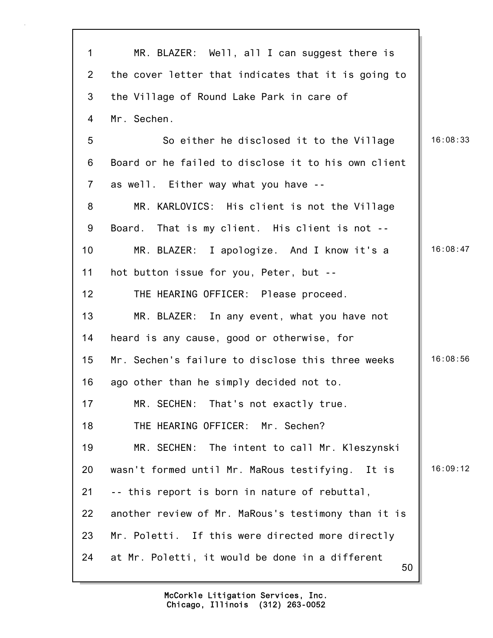| 1              | MR. BLAZER: Well, all I can suggest there is          |          |
|----------------|-------------------------------------------------------|----------|
| $\overline{2}$ | the cover letter that indicates that it is going to   |          |
| 3              | the Village of Round Lake Park in care of             |          |
| 4              | Mr. Sechen.                                           |          |
| 5              | So either he disclosed it to the Village              | 16:08:33 |
| $\,6$          | Board or he failed to disclose it to his own client   |          |
| $\overline{7}$ | as well. Either way what you have --                  |          |
| 8              | MR. KARLOVICS: His client is not the Village          |          |
| 9              | Board. That is my client. His client is not --        |          |
| 10             | MR. BLAZER: I apologize. And I know it's a            | 16:08:47 |
| 11             | hot button issue for you, Peter, but --               |          |
| 12             | THE HEARING OFFICER: Please proceed.                  |          |
| 13             | MR. BLAZER: In any event, what you have not           |          |
| 14             | heard is any cause, good or otherwise, for            |          |
| 15             | Mr. Sechen's failure to disclose this three weeks     | 16:08:56 |
| 16             | ago other than he simply decided not to.              |          |
| 17             | MR. SECHEN: That's not exactly true.                  |          |
| 18             | THE HEARING OFFICER: Mr. Sechen?                      |          |
| 19             | MR. SECHEN: The intent to call Mr. Kleszynski         |          |
| 20             | wasn't formed until Mr. MaRous testifying. It is      | 16:09:12 |
| 21             | -- this report is born in nature of rebuttal,         |          |
| 22             | another review of Mr. MaRous's testimony than it is   |          |
| 23             | Mr. Poletti. If this were directed more directly      |          |
| 24             | at Mr. Poletti, it would be done in a different<br>50 |          |
|                |                                                       |          |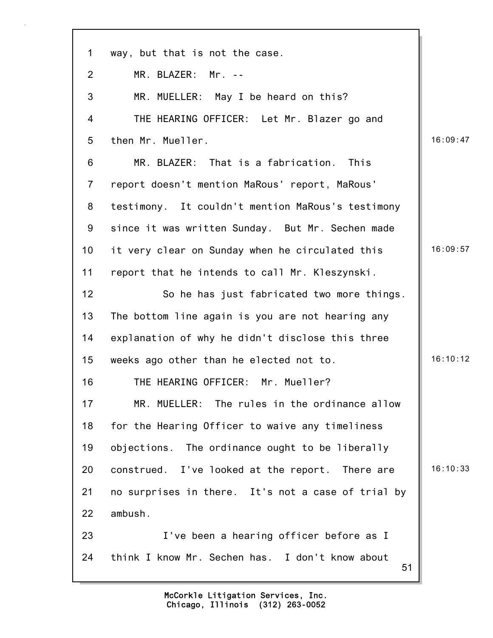| $\mathbf 1$    | way, but that is not the case.                        |          |
|----------------|-------------------------------------------------------|----------|
| 2              | MR. BLAZER: Mr. --                                    |          |
| 3              | MR. MUELLER: May I be heard on this?                  |          |
| 4              | THE HEARING OFFICER: Let Mr. Blazer go and            |          |
| 5              | then Mr. Mueller.                                     | 16:09:47 |
| 6              | MR. BLAZER: That is a fabrication. This               |          |
| $\overline{7}$ | report doesn't mention MaRous' report, MaRous'        |          |
| 8              | testimony. It couldn't mention MaRous's testimony     |          |
| 9              | since it was written Sunday. But Mr. Sechen made      |          |
| 10             | it very clear on Sunday when he circulated this       | 16:09:57 |
| 11             | report that he intends to call Mr. Kleszynski.        |          |
| 12             | So he has just fabricated two more things.            |          |
| 13             | The bottom line again is you are not hearing any      |          |
| 14             | explanation of why he didn't disclose this three      |          |
| 15             | weeks ago other than he elected not to.               | 16:10:12 |
| 16             | THE HEARING OFFICER: Mr. Mueller?                     |          |
| 17             | MR. MUELLER: The rules in the ordinance allow         |          |
| 18             | for the Hearing Officer to waive any timeliness       |          |
| 19             | objections. The ordinance ought to be liberally       |          |
| 20             | construed. I've looked at the report. There are       | 16:10:33 |
| 21             | no surprises in there. It's not a case of trial by    |          |
| 22             | ambush.                                               |          |
| 23             | I've been a hearing officer before as I               |          |
| 24             | think I know Mr. Sechen has. I don't know about<br>51 |          |

7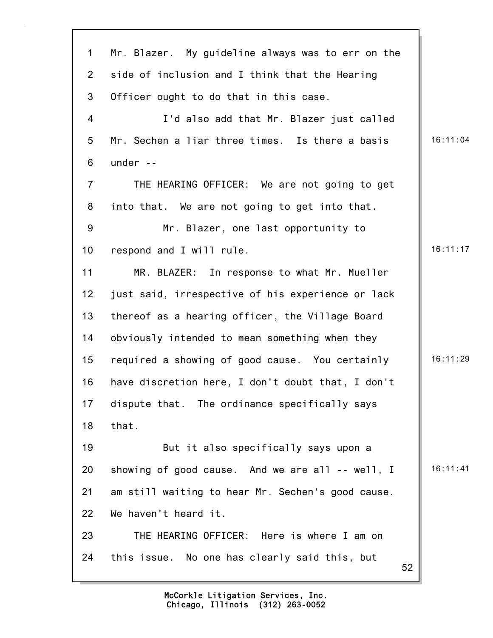| $\mathbf 1$    | Mr. Blazer. My guideline always was to err on the   |          |
|----------------|-----------------------------------------------------|----------|
| $\overline{2}$ | side of inclusion and I think that the Hearing      |          |
| 3              | Officer ought to do that in this case.              |          |
| $\overline{4}$ | I'd also add that Mr. Blazer just called            |          |
| 5              | Mr. Sechen a liar three times. Is there a basis     | 16:11:04 |
| 6              | under $-$                                           |          |
| $\overline{7}$ | THE HEARING OFFICER: We are not going to get        |          |
| 8              | into that. We are not going to get into that.       |          |
| 9              | Mr. Blazer, one last opportunity to                 |          |
| 10             | respond and I will rule.                            | 16:11:17 |
| 11             | MR. BLAZER: In response to what Mr. Mueller         |          |
| 12             | just said, irrespective of his experience or lack   |          |
| 13             | thereof as a hearing officer, the Village Board     |          |
| 14             | obviously intended to mean something when they      |          |
| 15             | required a showing of good cause. You certainly     | 16:11:29 |
| 16             | have discretion here, I don't doubt that, I don't   |          |
| 17             | dispute that. The ordinance specifically says       |          |
| 18             | that.                                               |          |
| 19             | But it also specifically says upon a                |          |
| 20             | showing of good cause. And we are all -- well, I    | 16:11:41 |
| 21             | am still waiting to hear Mr. Sechen's good cause.   |          |
| 22             | We haven't heard it.                                |          |
| 23             | THE HEARING OFFICER: Here is where I am on          |          |
| 24             | this issue. No one has clearly said this, but<br>52 |          |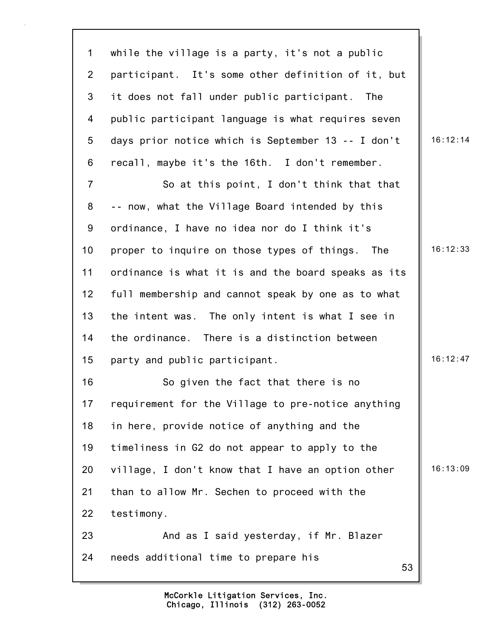53 1 while the village is a party, it's not a public 2 participant. It's some other definition of it, but 3 it does not fall under public participant. The 4 public participant language is what requires seven 5 days prior notice which is September 13 -- I don't  $\parallel$  16:12:14 6 recall, maybe it's the 16th. I don't remember. 7 So at this point, I don't think that that 8 -- now, what the Village Board intended by this 9 ordinance, I have no idea nor do I think it's 10 proper to inquire on those types of things. The 16:12:33 11 ordinance is what it is and the board speaks as its 12 full membership and cannot speak by one as to what 13 the intent was. The only intent is what I see in 14 the ordinance. There is a distinction between 15 party and public participant. 16:12:47 16 So given the fact that there is no 17 requirement for the Village to pre-notice anything 18 in here, provide notice of anything and the 19 timeliness in G2 do not appear to apply to the 20 village, I don't know that I have an option other  $\parallel$  16:13:09 21 than to allow Mr. Sechen to proceed with the 22 testimony. 23 And as I said yesterday, if Mr. Blazer 24 needs additional time to prepare his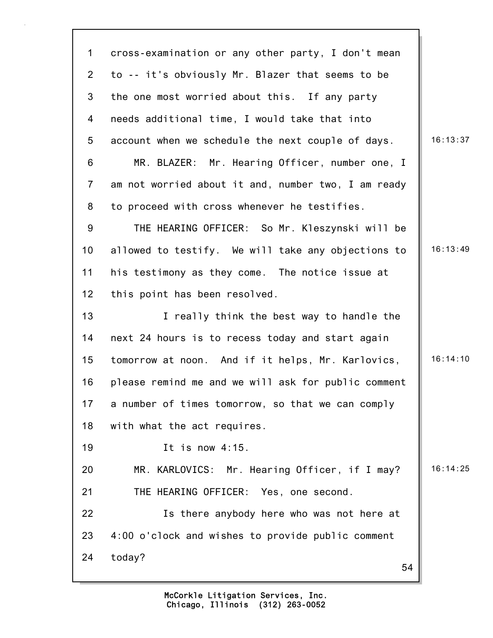54 1 cross-examination or any other party, I don't mean 2 to -- it's obviously Mr. Blazer that seems to be 3 the one most worried about this. If any party 4 needs additional time, I would take that into 5 account when we schedule the next couple of days.  $\|\cdot\|$  16:13:37 6 MR. BLAZER: Mr. Hearing Officer, number one, I 7 am not worried about it and, number two, I am ready 8 to proceed with cross whenever he testifies. 9 THE HEARING OFFICER: So Mr. Kleszynski will be 10 allowed to testify. We will take any objections to  $\parallel$  16:13:49 11 his testimony as they come. The notice issue at 12 this point has been resolved. 13 **I** really think the best way to handle the 14 next 24 hours is to recess today and start again 15 tomorrow at noon. And if it helps, Mr. Karlovics, | 16:14:10 16 please remind me and we will ask for public comment 17 a number of times tomorrow, so that we can comply 18 with what the act requires. 19 It is now 4:15. 20 MR. KARLOVICS: Mr. Hearing Officer, if I may? | 16:14:25 21 THE HEARING OFFICER: Yes, one second. 22 Is there anybody here who was not here at 23 4:00 o'clock and wishes to provide public comment 24 today?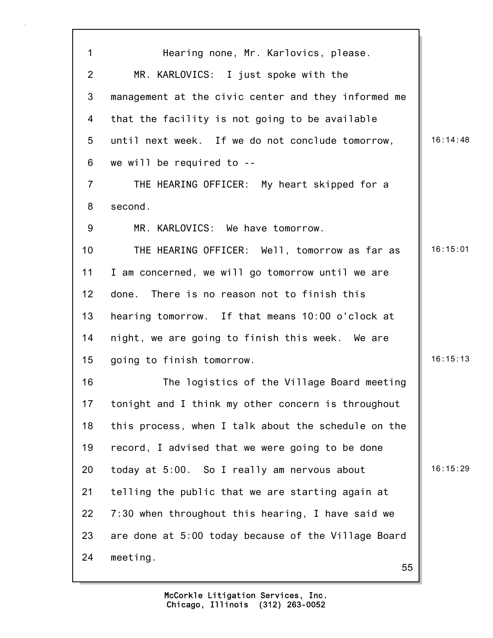55 1 Hearing none, Mr. Karlovics, please. 2 MR. KARLOVICS: I just spoke with the 3 management at the civic center and they informed me 4 that the facility is not going to be available 5 until next week. If we do not conclude tomorrow, | 16:14:48 6 we will be required to -- 7 THE HEARING OFFICER: My heart skipped for a 8 second. 9 MR. KARLOVICS: We have tomorrow. 10 THE HEARING OFFICER: Well, tomorrow as far as | 16:15:01 11 I am concerned, we will go tomorrow until we are 12 done. There is no reason not to finish this 13 hearing tomorrow. If that means 10:00 o'clock at 14 night, we are going to finish this week. We are 15 going to finish tomorrow. 15 and 16:15:13 16 The logistics of the Village Board meeting 17 tonight and I think my other concern is throughout 18 this process, when I talk about the schedule on the 19 record, I advised that we were going to be done 20 today at  $5:00$ . So I really am nervous about  $\parallel$  16:15:29 21 telling the public that we are starting again at 22 7:30 when throughout this hearing, I have said we 23 are done at 5:00 today because of the Village Board 24 meeting.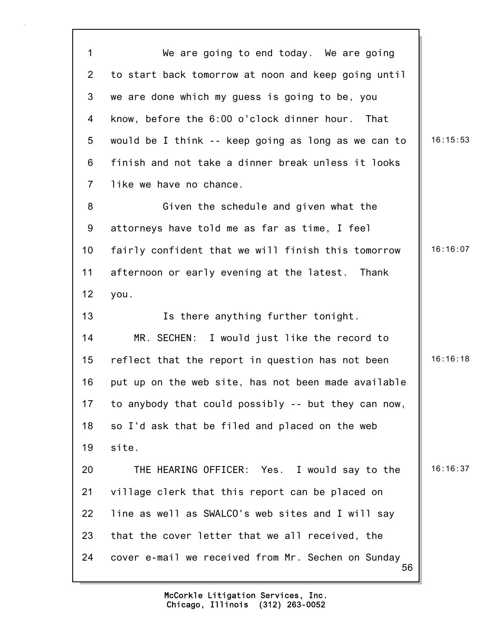56 1 We are going to end today. We are going 2 to start back tomorrow at noon and keep going until 3 we are done which my guess is going to be, you 4 know, before the 6:00 o'clock dinner hour. That 5 would be I think -- keep going as long as we can to  $\parallel$  16:15:53 6 finish and not take a dinner break unless it looks 7 like we have no chance. 8 Given the schedule and given what the 9 attorneys have told me as far as time, I feel 10 fairly confident that we will finish this tomorrow | 16:16:07 11 afternoon or early evening at the latest. Thank 12 you. 13 **Is there anything further tonight.** 14 MR. SECHEN: I would just like the record to 15 reflect that the report in question has not been  $\parallel$  16:16:18 16 put up on the web site, has not been made available 17 to anybody that could possibly -- but they can now, 18 so I'd ask that be filed and placed on the web 19 site. 20 THE HEARING OFFICER: Yes. I would say to the | 16:16:37 21 village clerk that this report can be placed on 22 line as well as SWALCO's web sites and I will say 23 that the cover letter that we all received, the 24 cover e-mail we received from Mr. Sechen on Sunday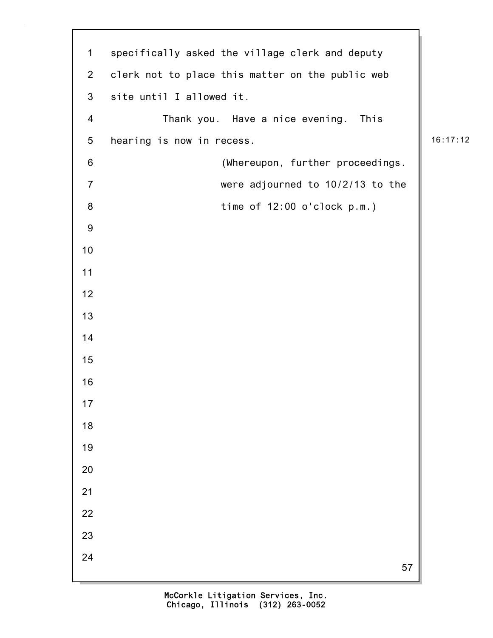1 specifically asked the village clerk and deputy 2 clerk not to place this matter on the public web 3 site until I allowed it. 4 Thank you. Have a nice evening. This 5 hearing is now in recess.  $\begin{array}{|c|c|c|c|c|c|c|c|c|} \hline \end{array}$  16:17:12 6 (Whereupon, further proceedings. 7 were adjourned to 10/2/13 to the 8 time of 12:00 o'clock p.m.)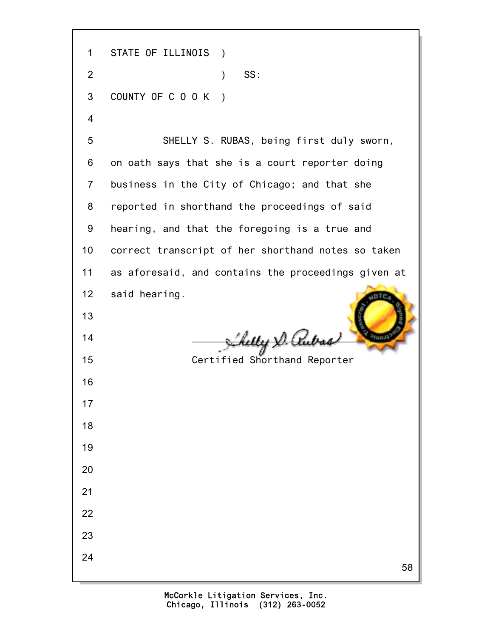58 1 STATE OF ILLINOIS ) 2 ) SS: 3 COUNTY OF C O O K ) 4 5 SHELLY S. RUBAS, being first duly sworn, 6 on oath says that she is a court reporter doing 7 business in the City of Chicago; and that she 8 reported in shorthand the proceedings of said 9 hearing, and that the foregoing is a true and 10 correct transcript of her shorthand notes so taken 11 as aforesaid, and contains the proceedings given at 12 said hearing. 13  $14$   $\frac{1}{2}$   $\frac{1}{2}$   $\frac{1}{2}$   $\frac{1}{2}$   $\frac{1}{2}$   $\frac{1}{2}$   $\frac{1}{2}$   $\frac{1}{2}$   $\frac{1}{2}$   $\frac{1}{2}$   $\frac{1}{2}$   $\frac{1}{2}$   $\frac{1}{2}$   $\frac{1}{2}$   $\frac{1}{2}$   $\frac{1}{2}$   $\frac{1}{2}$   $\frac{1}{2}$   $\frac{1}{2}$   $\frac{1}{2}$   $\frac{1}{2}$   $\frac{1}{$ 15 Certified Shorthand Reporter 16 17 18 19 20 21 22 23 24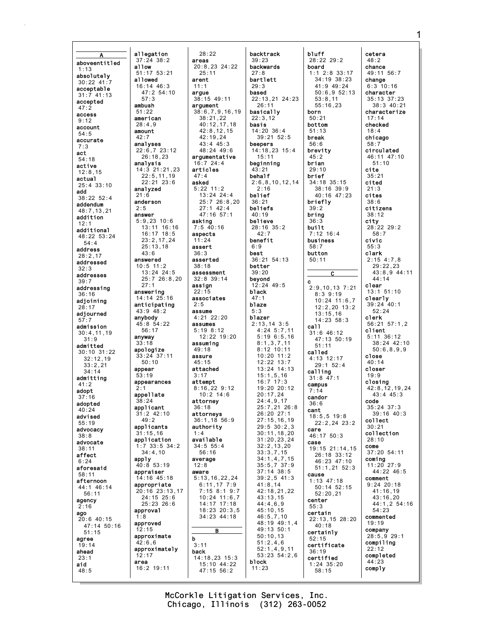A aboveentitled 1:13 absolutely  $30:22$  41: acceptable 31:7 41:13 accepted  $47:2$ access 9:12 account 54:5 accurate 7:3 act 54:18 active 12:8,15 actual 25:4 33:10 add 38:22 52:4 addendum 48:7,13,21 addition 12:1 additional 48:22 53:24 54:4 address 28:2,17 addressed 32:3 addresses 39:7 addressing 36:16 adjoining 28:17 adjourned 57:7 admission 30:4,11,19 31:9 admitted 30:10 31:22 32:12,19 33:2,21 34:14 admitting 41:2 adopt 37:16 adopted 40:24 advised 55:19 advocacy 38:8 advocate 38:11 affect 6:24 aforesaid 58:11 afternoon 44:1 46:14 56:11 agency 2:16 ago  $20:6$  40:15 47:14 50:16 51:15 agree 19:14 ahead 23:1 aid 48:5

allegation 37:24 38:2 allow 51:17 53:21 allowed 16:14 46:3 47:2 54:10 57:3 ambush 51:22 american 28:4,9 amount  $42.7$ analyses 22:6,7 23:12 26:18,23 analysis 14:3 21:21,23 22:5,11,19 22:21 23:6 analyzed 21:6 anderson 2:5 answer 5:9,23 10:6 13:11 16:16 16:17 18:5 23:2,17,24 25:13,18 43:6 answered 10:5 11:2 13:24 24:5 25:7 26:8,20 27:1 answering 14:14 25:16 anticipating 43:9 48:2 anybody 45:8 54:22 56:17 anyway 33:18 apologize 33:24 37:11 50:10 appear 53:19 appearances 2:1 appellate 38:24 applicant  $31.2$   $42.10$  $49.2$ applicants 31:15,16 application 1:7 33:5 34:2 34:4,10 apply 40:8 53:19 appraiser 14:16 45:18 appropriate 20:16 23:13,17 24:15 25:6 25:23 26:6 approval 1:8 approved 12:15 approximate 42:6,6 approximately 12:17 area 16:2 19:11

28:22 areas 20:8,23 24:22 25:11 arent 11:1 argue 38:15 49:11 argument 38:6,7,9,16,19 38:21,22 40:12,17,18  $42.8$  12,15 42:19,24 43:4 45:3  $48.24$   $49.6$ argumentative  $16.7 21.4$ articles 47:4 asked 5:22 11:2 13:24 24:4 25:7 26:8,20 27:1 42:4 47:16 57:1 asking 7:5 40:16 aspects 11:24 assert 36:3 asserted 38:18 assessment 32:8 39:14 assign  $22.15$ associates assume 4:21 22:20 assumes 5:19 8:12 12:22 19:20 assuming 49:18 assure  $45.15$ attached 3:17 attempt 8:16,22 9:12 10:2 14:6 attorney 36:18 attorneys 36:1,18 56:9 authority available 34:5 55:4 56:16 average 12:8 aware 5:13,16,22,24 6:11,17 7:9 7:15 8:1 9:7 10:24 11:6,7 14:17 17:18 18:23 20:3,5 34:23 44:18 B 3:11 back 14:18,23 15:3 15:10 44:22 backtrack 39:23 backwards 27:8 bartlett 29:3 based 26:11 basically 22:3,12 basis beepers 15:11 beginning 43:21 behalf 2:16 belief 36:21 beliefs 40:19 believe  $42.7$ benefit 6:9 best better 39:20 beyond black 47:1 blaze 5:3 blazer block 11:23

 $2.5$ 

1:4

b

47:15 56:2

22:13,21 24:23 14:20 36:4 39:21 52:5 14:18,23 15:4 2:6,8,10,12,14 28:16 35:2 36:21 54:13 12:24 49:5 2:13,14 3:5 4:24 5:7,11 5:19 6:5,16 8:1,3,7,11 8:12 10:11 10:20 11:2  $12.22 13.7$ 13:24 14:13 15:1,5,16 16:7 17:3 19:20 20:12  $20 \cdot 17$ , 24 24:4,9,17 25:7,21 26:8 26:20 27:1 27:15,16,19 29:5 30:2,3 30:11,18,20 31:20,23,24 32:2,13,20 33:3,7,15 34:1,4,7,15 35:5,7 37:9 37:14 38:5 39:2,5 41:3 41:8,14 42:18,21,22 43:13,15 44:4,6,9 45:10,15 46:5,7,10 48:19 49:1,4 49:13 50:1 50:10,13 51:2,4,6 52:1,4,9,11 53:23 54:2,6 bluff 28:22 29:2 board 1:1 2:8 33:17 34:19 38:23 41:9 49:24 53:8,11 55:16,23 born 50:21 bottom 51:13 break 56:6 brevity 45:2 brian 29:10 brief 34:18 35:15 38:16 39:9 40:16 47:23 briefly 39:2 bring 36:3 built 7:12 16:4 business 58:7 button 50:11 c 2:9,10,13 7:21 8:3 9:19  $13:15,16$ 14:23 58:3 call  $31:6$  46:12 47:13 50:19 51:11 called 4:13 12:17 29:1 52:4 calling 31:8 47:1 campus 7:14 candor 36:6 cant 18:5,5 19:8 care 46:17 50:3 case 19:15 21:14,15 26:18 33:12 46:23 47:10 cause 1:13 47:18 50:14 52:15 52:20,21 center 55:3 certain 22:13,15 28:20 40:18 certainly 52:15 certificate 36:19 certified 1:24 35:20 58:15

 $\overline{c}$ 

 $50:6.9.52:13$ 10:24 11:6,7 12:2,20 13:2 22:2,24 23:2 51:1,21 52:3 cetera 48:2 chance 49:11 56:7 change 6:3 10:16 character 35:13 37:23 38:3 40:21 characterize 17:14 checked  $18:4$ chicago 58:7 circulated 46:11 47:10 51:10 cite 35:21 cited 21:3 cites 38:6 citizens 38:12 city 28:22 29:2 58:7 civic 55:3 clark 2:15 4:7,8 29:22,23 43:8,9 44:11 44:14 clear 13:1 51:10 clearly 39:24 40:1 52:24 clerk 56:21 57:1,2 client 5:11 36:12 38:24 42:10 50:6,8,9,9 close  $40 \cdot 14$ closer 19:9 closing 42:8,12,19,24 43:4 45:3 code 35:24 37:3 39:16 40:3 collect 30:21 collection 28:10 come 37:20 54:11 coming 11:20 27:9 44:22 46:5 comment 9:24 20:18 41:16,19 43:16,20 44:1,2 54:16 54:23 commented 19:19 company 28:5,9 29:1 compiling 22:12 completed 44:23 comply

Chicago, Illinois (312) 263-0052 McCorkle Litigation Services, Inc. 1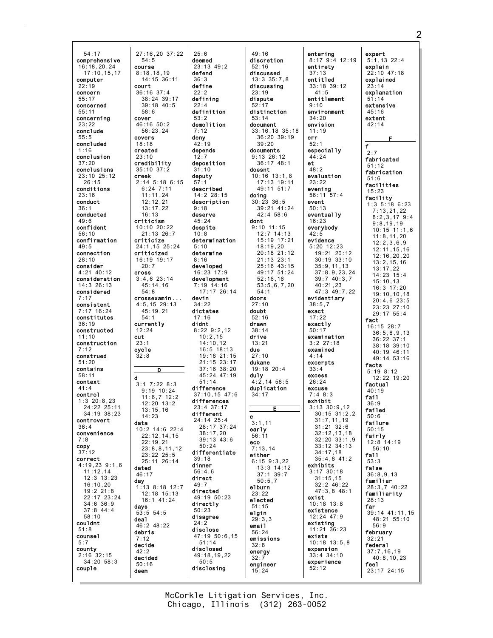54:17 comprehensive 16:18,20,24 17:10,15,17 computer 22:19 concern 55:17 concerned 55:11 concerning 23:22 conclude 55:5 concluded 1:16 conclusion 37:20 conclusions 23:10 25:12  $26.15$ conditions 23:16 conduct 36:1 conducted 49:6 confident 56:10 confirmation  $49:5$ connection 28:10 consider 4:21 40:12 consideration 14:3 26:13 considered 7:17 consistent 7:17 16:24 constitutes 36:19 constructed 11:10 construction 7:12 construed  $51:20$ contains 58:11 context 41:4 control 1:3 20:8,23 24:22 25:11 34:19 38:23 controvert 36:4 convenience 7:8 copy 37:12 correct 4:19,23 9:1,6 11:12,14 12:3 13:23 16:10,20 19:2 21:8 22:17 23:24 34:6 36:9 37:8 44:4 58:10 couldnt 51:8 counsel 5:7 county 2:16 32:15 34:20 58:3 couple

27:16,20 37:22 54:5 course 8:18,18,19 14:15 36:11 court 36:16 37:4 38:24 39:17 39:18 40:5 58:6 cover 46:16 50:2 56:23,24 covers 18:18 created 23:10 credibility 35:10 37:2 creek 2:14 5:18 6:15 6:24 7:11 11:11,24 12:12,21 13:17,22 16:13 criticism 10:10 20:22 21:13 26:7 criticize 24:1,15 25:24 criticized 16:19 19:17 20:7 cross 3:4,6 23:14 45:14,16 54:8 crossexamin ... 4:5,15 29:13 45:19,21 54:1 currently 12:24 cut 23:1 cycle 32:8 D d 3:1 7:22 8:3 9:19 10:24 11:6,7 12:2 12:20 13:2 13:15,16 14:23 data 10:2 14:6 22:4 22:12,14,15 22:19,21 23:8,8,11,12 23:22 25:5 25:11 26:14 dated 46:17 day 1:13 8:18 12:7 12:18 15:13 16:1 41:24 days  $53.5$   $54.5$ deal 46:2 48:22 debris 7:12 decide 42:2 decided 50:16 deem

25:6 deemed 23:13 49:2 defend 36:3 define 22:2 defining  $22 \cdot 4$ definition 53:2 demolition 7:12 deny 42:19 depends 12:7 deposition 31:10 deputy 57:1 described 14:2 28:15 description 9:18 deserve 45:24 despite 10:8 determination 5:10 determine 8:16 developed 16:23 17:9 development 7:19 14:16 17:17 26:14 devin 34:22 dictates 17:16 didnt 8:22 9:2,12 10:2,15 14:10,12 16:5 18:13 19:18 21:15 21:15 23:17 37:16 38:20 45:24 47:19 51:14 difference 37:10,15 47:6 differences  $23 \cdot 4 37 \cdot 17$ different 24:14 25:4 28:17 37:24 38:17,20 39:13 43:6 50:24 differentiate 39:18 dinner 56:4,6 direct  $49.7$ directed 49:19 50:23 directly 50:23 disagree 24:2 disclose 47:19 50:6,15 51:14 disclosed 49:18,19,22 50:5 disclosing

49:16 discretion 52:16 discussed 13:3 35:7,8 discussing  $23.19$ dispute  $52:17$ distinction 53:14 document 33:16,18 35:18 36:20 39:19 39:20 documents 9:13 26:12 36:17 48:1 doesnt 10:16 13:1,8 17:13 19:11 49:11 51:7 doing 30:23 36:5 39:21 41:24 42:4 58:6 dont 9:10 11:15 12:7 14:13 15:19 17:21 18:19,20 20:18 21:12 21:13 23:1 25:16 43:15 49:17 51:24 52:16,16 53:5,6,7,20 54:1 doors 27:10 doubt 52:16 drawn 38:14 drive 13:21 due 27:10 dukane 19:18 20:4 **duly**<br>4:2,14 58:5 duplication 34:17 E e 3:1,11 early 56:11 eco 7:13,14 either 6:15 9:3,22 13:3 14:12 37:1 39:7 50:5,7 elburn 23:22 elected 51:15 elgin  $29:3.3$ email 56:24 emissions 32:8 energy 32:7 engineer

entering 8:17 9:4 12:19 entirety 37:13 entitled 33:18 39:12  $41:5$ entitlement 9:10 environment 34:20 envision 11:19 err 52:1 especially 44:24 et 48:2 evaluation 23:22 evening 56:11 57:4 event 50:13 eventually 16:23 everybody  $42:5$ evidence 5:20 12:23 19:21 20:12 30:19 33:10 35:9,11,13 37:8,9,23,24 39:7 40:3,7 40:21,23 47:3 49:7,22 evidentiary 38:5,7 exact 17:22 exactly 50:17 examination 3:2 27:18 examined 4:14 excerpts 33:4 excess 26:24 excuse 7:4 8:3 exhibit 3:13 30:9,12 30:15 31:2,2 31:7,11,19 31:21 32:6 32:12,13,18 32:20 33:1,9 33:12 34:13  $34 \cdot 17$ , 18 35:4,8 41:2 exhibits 3:17 30:18 31:15,15 32:2 46:22 47:3,8 48:1 exist 10:18 13:8 existence 12:24 47:9 existing 11:21 36:23 exists 10:18 13:5,8 expansion 33:4 34:10 experience 52:12

expert 5:1,13 22:4 explain 22:10 47:18 explained 23:14 explanation 51:14 extensive  $45.16$ extent 42:14 F f  $2.7$ fabricated 51:12 fabrication 51:6 facilities 15:23 facility 1:3 5:18 6:23 7:13,21,22 8:2,3,17 9:4 9:8,19,19 10:15 11:1,6 11:8,11,20 12:2,3,6,9 12:11,15,16 12:16,20,20 13:2,15,16 13:17,22 14:23 15:4 15:10,13 16:3 17:20 19:10,10,18 20:4,6 23:5 23:23 27:10 29:17 55:4 fact 16:15 28:7 36:5,8,9,13 36:22 37:1 38:18 39:10  $40.19$   $46.11$ 49:14 53:16 facts 5:19 8:12 12:22 19:20 factual 40:19 fail 36:9 failed 50:6 failure 50:15 fairly 12:8 14:19 56:10 fall 53:3 false 36:8,9,13 familiar 28:3,7 40:22 familiarity 28:13 far  $39:14$   $41:11$ ,  $15$ 48:21 55:10 56:9 february 32:21 federal 37:7,16,19 40:8,10,23 feel 23:17 24:15

Chicago, Illinois (312) 263-0052 McCorkle Litigation Services, Inc.

15:24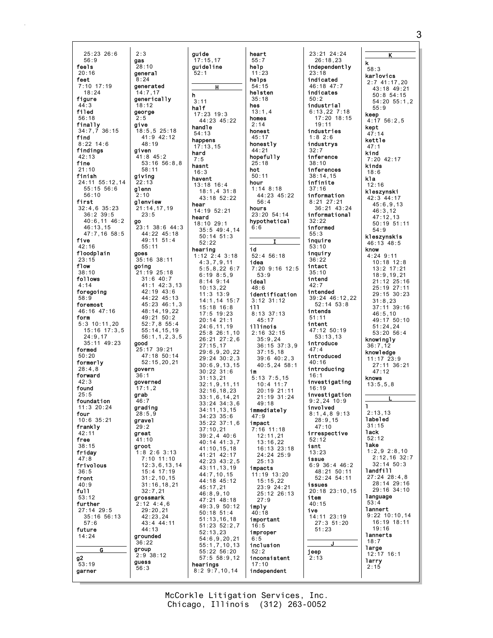25:23 26:6 56:9 feels 20:16 feet 7:10 17:19  $18.24$ figure 44:3 filed 56:18 finally 34:7,7 36:15 find 8:22 14:6 findings 42:13 fine 21:10 finish 24:11 55:12,14 55:15 56:6 56:10 first 32:4,6 35:23 36:2 39:5 40:6,11 46:2 46:13,15 47:7,16 58:5 five 42:16 floodplain 23:15 flow 38:10 follows 4:14 foregoing 58:9 foremost 46:16 47:16 form 5:3 10:11,20 15:16 17:3,5 24:9,17 35:11 49:23 formed 50:20 formerly 28:4,8 forward  $42:3$ found  $25:5$ foundation 11:3 20:24 four 10:6 35:21 frankly  $12.11$ free 38:15 friday 47:8 frivolous 36:5 front  $40.9$ full 53:12 further 27:14 29:5 35:16 56:13 57:6 future 14:24 G g2 53:19 garner 2:3 gas  $28:10$ general 8:24 generated  $14.7$  17 generically 18:12 george 2:5 give 18:5,5 25:18 41:9 42:12 48:19 given 41:8 45:2 58:11 giving 22:13 glenn 2:10 glenview 21:14,17,19 23:5 go 49:11 51:4 55:11 goes 35:16 38:11 going 21:19 25:18 31:6 40:7 42:19 43:6 49:21 50:2 good 25:17 39:21 govern 36:1 governed  $17:1.2$ grab 46:7 grading  $28.59$ gravel 29:2 great 41:10 groot 1:8 2:6 3:13 7:10 11:10 15:4 17:19 31:2,10,15 32:7,21 grossmark  $2:12 \, 4:4.6$ 29:20,21 42:23,24 43:4 44:11 44:13 grounded 36:22 group 2:9 38:12 guess 56:3

53:16 56:8,8 23:1 38:6 44:3 44:22 45:18 41:1 42:3,13 44:22 45:13 45:23 46:1,3 48:14,19,22 52:7,8 55:4 55:14,15,19 56:1,1,2,3,5 47:18 50:14 52:15,20,21 12:3,6,13,14 31:16,18,21 guide  $17:15.17$ guideline 52:1 H h  $3:11$ half 17:23 19:3  $44.23$   $45.22$ handle 54:13 happens 17:13,15 hard 7:5 hasnt  $16:3$ havent 13:18 16:4 18:1,4 31:8 43:18 52:22 hear 14:19 52:21 heard 18:10 29:1 35:5 49:4,14 50:14 51:3  $52.22$ hearing 1:12 2:4 3:18  $4:3,7,9,11$ 5:5,8,22 6:7 6:19 8:5,9 8:14 9:14 10:13,22 11:3 13:9 14:1,14 15:7 15:18 16:8  $17.5$  19:23 20:14 21:1 24:6,11,19 25:8 26:1,10 26:21 27:2,6 27:15,17 29:6,9,20,22 29:24 30:2,3 30:6,9,13,15 30:22 31:6 31:13,21 32:1,9,11,11 32:16,18,23 33:1,6,14,21 33:24 34:3,6 34:11,13,15 34:23 35:6 35:22 37:1,6 37:10,21 39:2,4 40:6 40:14 41:3,7 41:10,15,18 41:21 42:17 42:23 43:2,5 43:11,13,19 44:7,10,15 44:18 45:12 45:17,21 46:8,9,10 47:21 48:18 49:3,9 50:12 50:18 51:4 51:13,16,18 51:23 52:2,7 52:13,23 54:6,9,20,21 55:1,7,10,13 55:22 56:20 57:5 58:9,12 hearings 8:2 9:7,10,14

heart 55:7 help 11:23 helps 54:15 helsten 35:18 hes  $13:1,4$ homes 2:14 honest 45:17 honestly 44:21 hopefully 25:18 hot 50:11 hour 1:14 8:18 44:23 45:22 56:4 hours 23:20 54:14 hypothetical 6:6 I id 52:4 56:18 idea 7:20 9:16 12:5 53:9 ideal 48:6 identification 3:12 31:12 ill 8:13 37:13 45:17 illinois 2:16 32:15 35:9,24 36:15 37:3,9  $37 \cdot 15$ , 18 39:6 40:2,3 40:5,24 58:1 im 5:13 7:5,15 10:4 11:7 20:19 21:11 21:19 31:24 49:18 immediately 47:9 impact 7:16 11:18 12:11,21 13:16,22 16:13 23:18 24:24 25:9 25:13 impacts 11:19 13:20 15:15,22 23:9 24:21 25:12 26:13 27:9 imply 40:18 important 16:5 improper 6:5 inclusion 52:2 inconsistent 17:10 independent

23:21 24:24 26:18,23 independently 23:18 indicated 46:18 47:7 indicates 50:2 industrial 6:13,22 7:18 17:20 18:15 19:11 industries 1:8 2:6 industrys 32:7 inference 38:10 inferences 38:14,15 infinite 37:16 information 8:21 27:21 36:21 43:24 informational 32:22 informed 55:3 inquire 53:10 inquiry 36:22 intact 35:10 intend 42:7 intended 39:24 46:12,22 52:14 53:8 intends 51:11 intent 47:12 50:19 53:13,13 introduce 47:4 introduced  $40.16$ introducing 16:1 investigating 16:19 investigation 9:2,24 10:9 involved 8:1,4,8 9:13 28:9,15 47:10 irrespective 52:12 isnt 13:23 issue 6:9 36:4 46:2 48:21 50:11 52:24 54:11 issues 20:18 23:10,15 item  $40.15$ ive 14:11 23:19 27:3 51:20 51:23 J jeep 2:13

K k 58:3 karlovics 2:7 41:17,20 43:18 49:21 50:8 54:15 54:20 55:1,2 55:9 keep  $4.1756.25$ kept 47:14 kettle 47:1 kind 7:20 42:17 kinds 18:6 kla 12:16 kleszynski 42:3 44:17 45:6,9,13 46:3,12 47:12,13 50:19 51:11 54:9 kleszynskis 46:13 48:5 know 4:24 9:11  $10:18$  12:8 13:2 17:21 18:9,19,21 21:12 25:16 25:19 27:11 29:15 30:23  $31 \cdot 8$  23 37:11 39:16 46:5,10 49:17 50:10 51:24,24 53:20 56:4 knowingly 36:7,12 knowledge 11:17 23:9 27:11 36:21 47:12 knows 13:5,5,8 L l 2:13,13 labeled 31:15 lack 52:12 lake  $1:2,9$  2:8,10 2:12,16 32:7 32:14 50:3 landfill 27:24 28:4,8 28:14 29:16 29:16 34:10 language 53:4 lannert 9:22 10:10,14 16:19 18:11 19:16 lannerts  $18:7$ **large** 12:17 16:1 larry 2:15

3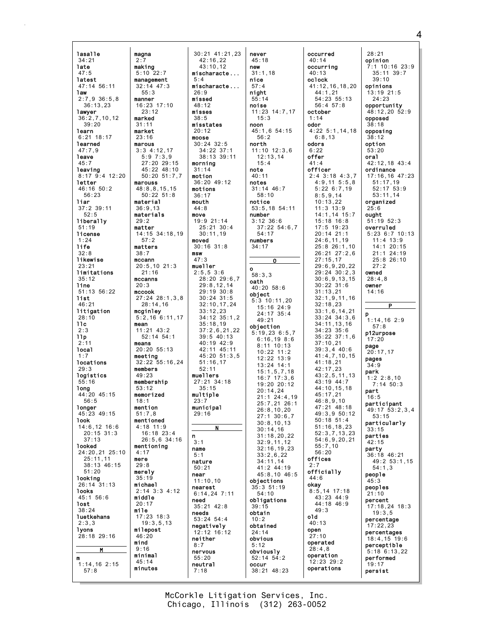lasalle 34:21 late 47:5 latest 47:14 56:11 law 2:7,9 36:5,8 36:13,23 lawyer 36:2,7,10,12 39:20 learn 6:21 18:17 learned 47:7,9 leave 45:7 leaving 8:17 9:4 12:20 letter 46:16 50:2 56:23 liar 37:2 39:11 52:5 liberally 51:19 license 1:24 life 32:8 likewise 23:21 limitations 35:12 line 51:13 56:22 list 46:21 litigation 28:10  $11c$ 2:3 llp 2:11 local 1:7 locations 29:3 logistics 55:16 long 44:20 45:15 56:5 longer  $45.23$   $49.15$ look 14:6,12 16:6 20:15 31:3 37:13 looked 24:20,21 25:10 25:11,11 38:13 46:15 51:20 looking 26:14 31:13 looks 45:1 56:6 lost 38:24 **luetkehans** 2:3,3 lyons 28:18 29:16 M m 1:14,16 2:15 57:8 magna making marked market marous marouss materials matter matters mccann mccook mean means members membership memorized mention mentioned mere merely michael middle mile milepost mind minimal minutes

2:7

5:10 22:7

 $-55:3$ manner

23:12

31:11

23:16

material 36:9,13

57:2

21:16 mccanns 20:3

mcginley

49:23

53:12

18:1

4:17

29:8

35:19

20:17

46:20

9:16

45:14

51:7,8

4:18 11:9

29:2

38:7

management 32:14 47:3 16:23 17:10 3:3 4:12,17 5:9 7:3,9 27:20 29:15 45:22 48:10 50:20 51:7,7 48:8,8,15,15 50:22 51:8 14:15 34:18,19 20:5,10 21:3 27:24 28:1,3,8 28:14,16 5:2,16 6:11,17 11:21 43:2 52:14 54:1 20:20 55:13 meeting 32:22 55:16,24  $16.18 23.4$ 26:5,6 34:16 mentioning 2:14 3:3 4:12 17:23 18:3 19:3,5,13 30:21 41:21,23 42:16,22 43:10,12 mischaracte ... 5:4 mischaracte ...  $26.9$ missed  $48.12$ misses 38:5 misstates  $20.12$ moose 30:24 32:5 34:22 37:1 38:13 39:11 morning 31:14 motion 36:20 49:12 motions 36:17 mouth 44:8 move 19:9 21:14 25:21 30:4  $30 \cdot 11$ , 19 moved 30:16 31:8 msw 47:3 mueller 2:5,5 3:6 28:20 29:6,7 29:8,12,14 29:19 30:8 30:24 31:5 32:10,17,24 33:12,23 34:12 35:1,2 35:18,19 37:2,6,21,22 39:5 40:13 40:19 42:9 42:11 45:11 45:20 51:3,5 51:16,17 52:11 muellers 27:21 34:18 35:15 multiple 23:7 municipal  $29.16$ N n  $3 \cdot 1$ name 5:1 nature 50:21 near 11:10,10 nearest 6:14,24 7:11 need 35:21 42:8 needs 53:24 54:4 negatively 12:12 16:12 neither 8:7 nervous 55:20 neutral 7:18

never 45:18 new  $\frac{1}{31}:1.18$ nice 57:4 night 55:14 noise 11:23 14:7,17 15:3 noon 45:1,6 54:15 56:2 north 11:10 12:3,6 12:13,14  $15:4$ note 40:11 notes 31:14 46:7 58:10 notice 53:5,18 54:11 number 3:12 36:6 37:22 54:6,7 54:17 numbers 34:17 O o 58:3,3 oath 40:20 58:6 object 5:3 10:11,20 15:16 24:9 24:17 35:4 49:21 objection 5:19,23 6:5,7 6:16,19 8:6 8:11 10:13  $10.22$   $11.2$ 12:22 13:9 13:24 14:1 15:1,5,7,18 16:7 17:3,6 19:20 20:12 20:14,24 21:1 24:4,19 25:7,21 26:1 26:8,10,20 27:1 30:6,7 30:8,10,13 30:14,16 31:18,20,22 32:9,11,12 32:16,19,23 33:2,6,22 34:11,14 41:2 44:19 45:8,10 46:5 objections 35:3 51:19 54:10 obligations 39:15 obtain 10:2 obtained 24:14 obvious 5:12 obviously 52:14 54:2 occur 38:21 48:23

occurred 40:14 occurring 40:13 oclock 41:12,16,18,20  $44 \cdot 1$ , 21 54:23 55:13 56:4 57:8 october 1:14 odor 4:22 5:1,14,18 6:8,13 odors  $6.22$ offer  $A1:4$ officer 2:4 3:18 4:3,7 4:9,11 5:5,8 5:22 6:7,19 8:5,9,14  $10.13,22$ 11:3 13:9 14:1,14 15:7 15:18 16:8 17:5 19:23 20:14 21:1 24:6,11,19 25:8 26:1,10 26:21 27:2,6 27:15,17 29:6,9,20,22 29:24 30:2,3 30:6,9,13,15 30:22 31:6 31:13,21 32:1,9,11,16 32:18,23 33:1,6,14,21 33:24 34:3,6 34:11,13,16 34:23 35:6 35:22 37:1,6 37:10,21 39:3,4 40:6 41:4,7,10,15  $41 \cdot 18$ , 21 42:17,23 43:2,5,11,13 43:19 44:7 44:10,15,18  $45 \cdot 17$ , 21 46:8,9,10 47:21 48:18  $49.3950.12$ 50:18 51:4 51:16,18,23 52:3,7,13,23 54:6,9,20,21 55:7,10 56:20 offices 2:7 officially 44:6 okay 8:5,14 17:18 43:23 44:9  $44.18$   $46.9$ 49:3 old 40:13 open 27:10 operated 28:4,8 operation 12:23 29:2 operations

28:21 opinion 7:1 10:16 23:9 35:11 39:7 39:10 opinions 13:19 21:5 24:23 opportunity 48:12,20 52:9 opposed 38:18 opposing 38:12 option 53:20 oral 42:12,18 43:4 ordinance 17:16,16 47:23 51:17,19 52:17 53:9 53:11,14 organized  $25:6$ ought 51:19 52:3 overruled 5:23 6:7 10:13 11:4 13:9 14:1 20:15 21:1 24:19 25:8 26:10 27:2 owned 28:4,8 owner 14:16  $\overline{P}$ p 1:14,16 2:9 57:8 p12urpose 17:20 page  $20 \cdot 17$ , 17 pages 34:9 park 1:2 2:8,10 7:14 50:3 part 16:5 participant 49:17 53:2,3,4 53:15 particularly 33:15 parties  $42.15$ party 36:18 46:21 49:2 53:1,15 54:1,3 people 45:3 peoples 21:10 percent 17:18,24 18:3  $19:3.5$ percentage 17:22,23 percentages 18:4,15 19:6 perceptible 5:18 6:13,22 performed 19:17 persist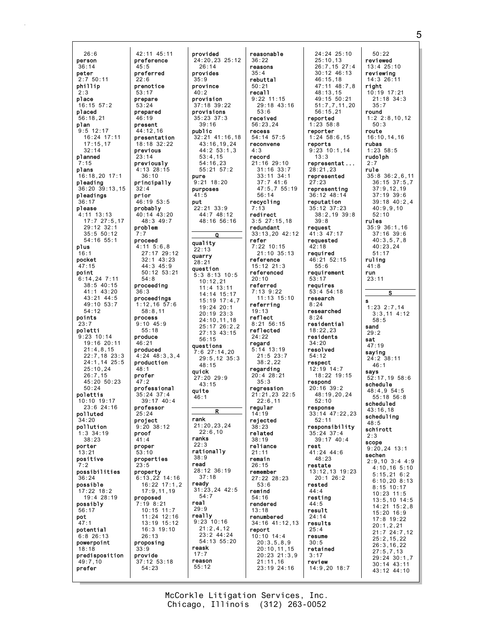26:6 person 36:14 peter 2:7 50:11 phillip 2:3 place 16:15 57:2 placed 56:18,21 plan  $9:5$  12:17 16:24 17:11 17:15,17 32:14 planned 7:15 plans 16:18,20 17:1 pleading 36:20 39:13,15 pleadings 36:17 please 4:11 13:13 17:7 27:5,17 29:12 32:1  $35:5 50:12$ 54:16 55:1 plus 16:1 pocket 47:15 point 6:14,24 7:11 38:5 40:15 41:1 43:20 43:21 44:5 49:10 53:7 54:12 points 23:7 poletti 9:23 10:14 19:16 20:11 21:4,8,15 22:7,18 23:3 24:1,14 25:5 25:10,24 26:7,15 45:20 50:23 50:24 polettis 10:10 19:17 23:6 24:16 polluted  $34.20$ pollution 1:3 34:19 38:23 porter 13:21 positive 7:2 possibilities 36:24 possible 17:22 18:2 19:4 28:19 possibly 56:17 pot 47:1 potential 6:8 26:13 powerpoint 18:18 predisposition 49:7,10 prefer preference preferred prenotice prepare prepared present previous previously principally prior probably problem proceed proceeding proceedings process produce produced production profer professional professor project proof proper properties property proposed proposing provide

presentation 27:17 29:12 32:1 43:23 50:12 53:21 1:12,16 57:6 4:24 48:3,3,4 39:17 40:4 6:13,22 14:16 16:22 17:1,2 17:9,11,19 10:15 11:7 11:24 12:16 13:19 15:12 16:3 19:10 provided 24:20,23 25:12 26:14 provides 35:9 province  $40.2$ provision 37:18 39:22 provisions 35:23 37:3 39:16 public 32:21 41:16,18 43:16,19,24 44:2 53:1,3 53:4,15 54:16,23 55:21 57:2 pure 9:21 18:20 purposes 41:5 put 22:21 33:9 44:7 48:12 48:16 56:16 Q quality 22:13 quarry 28:21 question 5:3 8:13 10:5  $10:12.21$ 11:4 13:11 14:14 15:17 15:19 17:4,7 19:24 20:1 20:19 23:3 24:10,11,18 25:17 26:2,2  $27 \cdot 13$  43:15 56:15 questions 7:6 27:14,20 29:5,12 35:3 48:15 quick 27:20 29:9 43:15 quite  $46:1$ R rank 21:20,23,24  $22:6.10$ ranks 22:3 rationally 38:9 read 28:12 36:19 37:18 ready 31:23,24 42:5 54:7 real 29:9 really 9:23 10:16  $21:2,4,12$ 23:2 44:24 54:13 55:20 reask  $17:7$ reason 55:12

42:11 45:11

45:5

 $22:6$ 

53:17

53:24

46:19

23:14

32:4

7:7

 $44.12,16$ 

18:18 32:22

4:13 28:15 36:10

46:19 53:5

40:14 43:20 48:3 49:7

4:11 5:6,8

44:3 45:9

54:8

58:8,11

9:10 45:9 55:18

 $46.21$ 

48:1

47:2

25:24

41:4

53:10

23:5

35:24 37:4

9:20 38:12

7:19 8:21

26:13

37:12 53:18 54:23

33:9

 $36.3$ 

reasonable 36:22 reasons 35:4 rebuttal 50:21 recall 9:22 11:15 29:18 43:16 53:6 received 56:23,24 recess 54:14 57:5 reconvene 4:3 record 21:16 29:10 31:16 33:7 33:11 34:1  $37 \cdot 7$  41:6 47:5,7 55:19 56:14 recycling 7:13 redirect 3:5 27:15,18 redundant 33:13,20 42:12 refer 7:22 10:15 21:10 35:13 reference 15:12 21:3 referenced 20:10 referred 7:13 9:22 11:13 15:10 referring 19:13 reflect 8:21 56:15 reflected 24:22 regard 5:14 13:19 21:5 23:7 38:2,22 regarding 20:4 28:21 35:3 regression 21:21,23 22:5  $22:6.11$ regular 14:19 rejected 38:23 related 38:19 reliance 21:11 remain 26:15 remember 27:22 28:23 53:6 remind 54:16 rendered 13:18 renumbered 34:16 41:12,13 report 10:10 14:4 20:3,5,8,9 20:10,11,15 20:23 21:3,9 21:11,16 23:19 24:16

24:24 25:10 25:10,13 26:7,15 27:4 30:12 46:13 46:15,18 47:11 48:7,8  $48 \cdot 13$ , 15 49:15 50:21 51:7,7,11,20 56:15,21 reported 1:23 58:8 reporter 1:24 58:6,15 reports 9:23 10:1,14 13:3 representat ... 28:21,23 represented  $27:23$ representing 36:12 48:14 reputation 35:12 37:23 38:2,19 39:8 39:8 request 41:3 47:17 requested 42:18 required 46:21 52:15 55:6 requirement 53:17 requires 53:4 54:18 research 8:24 researched 8:24 residential 18:22,23 residents 34:20 resolved 54:12 respect 12:19 14:7 18:22 19:15 respond 20:16 39:2  $48.19,20,24$ 52:10 response 33:14 47:22,23 52:11 responsibility 35:24 37:4 39:17 40:4 rest 41:24 44:6 48:23 restate 13:12,13 19:23 20:1 26:2 rested 44:4 resting  $44.5$ result 24:14 results 25:4 resume 30:5 retained 3:17 review 14:9,20 18:7

50:22 reviewed 13:4 25:10 reviewing 14:3 26:11 right 10:19 17:21 21:18 34:3 35:7 round 1:2 2:8,10,12 50:3 route 16:10,14,16 rubas 1:23 58:5 rudolph  $2.7$ rule 35:8 36:2,6,11 36:15 37:5,7 37:9,12,19 37:19 39:6 39:18 40:2,4 40:9,9,10 52:10 rules 35:9 36:1,16 37:16 39:6 40:3,5,7,8 40:23,24 51:17 ruling 41:8 run 23:11 S s 1:23 2:7,14  $3:3.11 \t4:12$ 58:5 sand  $29.2$ sat 47:19 saying 24:2 38:11 46:1 says 52:17,19 58:6 schedule 48:4,9 54:5 55:18 56:8 scheduled 43:16,18 scheduling  $48.5$ schirott 2:3 scope 9:20,24 13:1 sechen 2:9,10 3:4 4:9 4:10,16 5:10 5:15,21 6:2 6:10,20 8:13 8:15 10:17 10:23 11:5 13:5,10 14:5 14:21 15:2,8 15:20 16:9 17:8 19:22 20:1,2,21 21:7 24:7,12 25:2,15,22 26:3,16,22 27:5,7,13 29:24 30:1,7 30:14 43:11 43:12 44:10

Chicago, Illinois (312) 263-0052 McCorkle Litigation Services, Inc. 5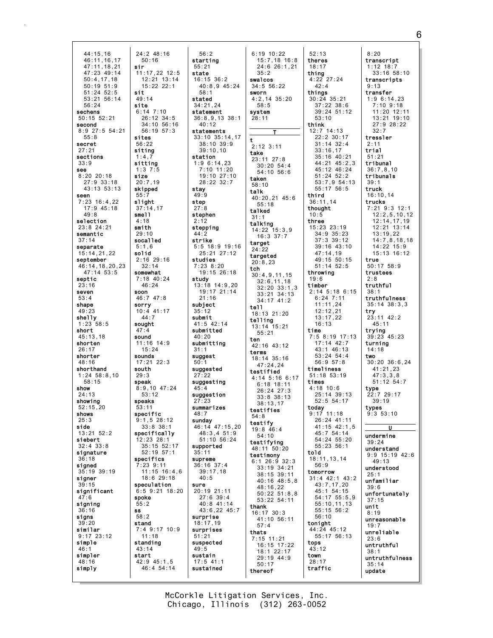44:15,16 46:11,16,17 47:11,18,21 47:23 49:14 50:4,17,18 50:19 51:9 51:24 52:5 53:21 56:14 56:24 sechens 50:15 52:21 second 8:9 27:5 54:21 55:8 secret 27:21 sections 33:9 see 8:20 20:18 27:9 33:18 43:13 53:13 seen  $7:23$  16:4,22 17:9 45:18 49:8 selection 23:8 24:21 semantic 37:14 separate 15:14,21,22 september 46:14,18,20,23 47:14 53:5 septic 23:16 seven 53:4 shape 49:23 shelly 1:23 58:5 short 45:13,18 shorten 26:17 shorter 48:16 shorthand 1:24 58:8,10  $.21.00$ show 24:13 showing 52:15,20 shows  $25.3$ side  $13.21 52.2$ siebert 32:4 33:8 signature  $\bar{3}:18$ signed 35:19 39:19 signer 39:15 significant 47:6 signing 36:16 signs 39:20 similar 9:17 23:12 simple  $46:$ simpler 48:16 simply 24:2 48:16 50:16 sir 11:17,22 12:5  $12:21$  13:14 15:22 22:1 sit 49:14 site 6:14 7:10 26:12 34:5 34:10 56:16 56:19 57:3 sites 56:22 siting 1:4,7 sitting 1:3 7:5 size 20:7,19 skipped 55:7 slight 37:14,17 smell 4:18 smith 29:10 socalled 5:1,6 solid 2:16 29:16 32:14 somewhat 7:18 40:24 46:24 soon 46:7 47:8 sorry 10:4 41:17 44:7 sought 47:4 sound 11:16 14:9 15:24 sounds 17:21 22:3 south  $29.3$ speak 8:9,10 47:24 53:12 speaks 53:11 specific 9:1,5 28:12 33:8 38:1 specifically 12:23 28:1 35:15 52:17 52:19 57:1 specifics 7:23 9:11 11:15 16:4,6 18:6 29:18 speculation 6:5 9:21 18:20 spoke 55:2 ss 58:2 stand 7:4 9:17 10:9 11:18 standing 43:14 start 42:9 45:1,5 46:4 54:14

56:2 starting 55:21 state 16:15 36:2 40:8,9 45:24 58:1 stated 34:21,24 statement 36:8,9,13 38:1 40:12 statements 33:10 35:14,17 38:10 39:9 39:10,10 station 1:9 6:14,23 7:10 11:20 19:10 27:10 28:22 32:7 stay 49:9 step 27:8 stephen 2:12 stepping  $44:2$ strike 5:5 18:9 19:16 25:21 27:12 studies 7:23 8:20 19:15 26:18 study 13:18 14:9,20 19:17 21:14 21:16 subject 35:12 submit 41:5 42:14 submitted 40:20 submitting 31:1 suggest  $50:1$ suggested 27:22 suggesting  $45:4$ suggestion 27:23 summarizes  $48.7$ sunday 46:14 47:15,20 48:3,4 51:9 51:10 56:24 supported 35:11 supreme 36:16 37:4 39:17,18  $40:5$ sure 20:19 21:11 27:6 39:4 40:8 41:14 43:6,22 45:7 surprise 18:17,19 surprises 51:21 suspected 49:5 sustain 17:5 41:1 sustained

6:19 10:22 15:7,18 16:8 24:6 26:1,21 35:2 swalcos 34:5 56:22 sworn 4:2,14 35:20 58:5 system 28:11 T t 2:12 3:11 take 23:11 27:8 30:20 54:4 54:10 56:6 taken 58:10 talk 40:20,21 45:6 55:18 talked 31:1 talking 14:22 15:3,9 16:3 37:7 target 24:22 targeted 20:8,23 tch 30:4,9,11,15 32:6,11,18 32:20 33:1,3 33:21 34:13 34:17 41:2 tell 18:13 21:20 telling 13:14 15:21  $55:21$ ten 42:16 43:12 terms 18:14 35:16 47:24,24 testified 4:14 5:16 6:17 6:18 18:11 26:24 27:3 33:8 38:13 38:13,17 testifies 54:8 testify 19:8 46:4 54:10 testifying 48:11 50:20 testimony 6:1 26:9 32:3 33:19 34:21 38:15 39:11 40:16 48:5,8 48:16,22 50:22 51:8,8 53:22 54:11 thank 16:17 30:3 41:10 56:11 57:4 thats 7:15 11:21 16:15 17:22 18:1 22:17 29:19 44:9 50:17 thereof

52:13 theres 18:17 thing 4:22 27:24  $42:4$ things 30:24 35:21 37:22 38:6 39:24 51:12 53:10 think 12:7 14:13 22:2 30:17 31:14 32:4 33:16,17 35:16 40:21  $44.21$   $45.2$  3 45:12 46:24 51:24 52:2 53:7,9 54:13 55:17 56:5 third 36:11,14 thought 10:5 three 15:23 23:19 34:9 35:23 37:3 39:12 39:16 43:10 47:14,19 49:15 50:15 51:14 52:5 throwing 19:6 timber 2:14 5:18 6:15 6:24 7:11 11:11,24 12:12,21 13:17,22 16:13 time 7:5 8:19 17:13 17:14 42:7 43:1 46:13 53:24 54:4 56:9 57:8 timeliness 51:18 53:19 times 4:18 10:6 25:14 39:13 52:5 54:17 today  $9:17$  11:18 26:24 41:11 41:15 42:1,5  $45.754.14$ 54:24 55:20 55:23 56:1 told 18:11,13,14 56:9 tomorrow 31:4 42:1 43:2 43:7,17,20 45:1 54:15 54:17 55:5,9 55:10,11,13 55:15 56:2 56:10 tonight 44:24 45:12 55:17 56:13 tops 43:12 town 28:17 traffic

8:20 transcript 1:12 18:7 33:16 58:10 transcripts 9:13 transfer 1:9 6:14,23 7:10 9:18 11:20 12:11 13:21 19:10 27:9 28:22 32:7 tressler 2:11 trial 51:21 tribunal 36:7,8,10 tribunals 39:1 truck 16:10,14 trucks 7:21 9:3 12:1 12:2,5,10,12 12:14,17,19 12:21 13:14  $13.19, 22$ 14:7,8,18,18 14:22 15:9 15:13 16:12 true 50:17 58:9 trustees 2:8 truthful 38:1 truthfulness 35:14 38:3,3 try 23:11 42:2  $45:11$ trying 39:23 45:23 turning 14:18 two 30:20 36:6,24 41:21,23 47:3,3,8 51:12 54:7 type 22:7 29:17 39:19 types  $9.353 \cdot 10$ U undermine 39:24 understand 9:9 15:19 42:6 49:13 understood 25:1 unfamiliar 39:6 unfortunately 37:15 unit 8:19 unreasonable 19:7 unreliable 23:6 untruthful 38:1 untruthfulness 35:14 update